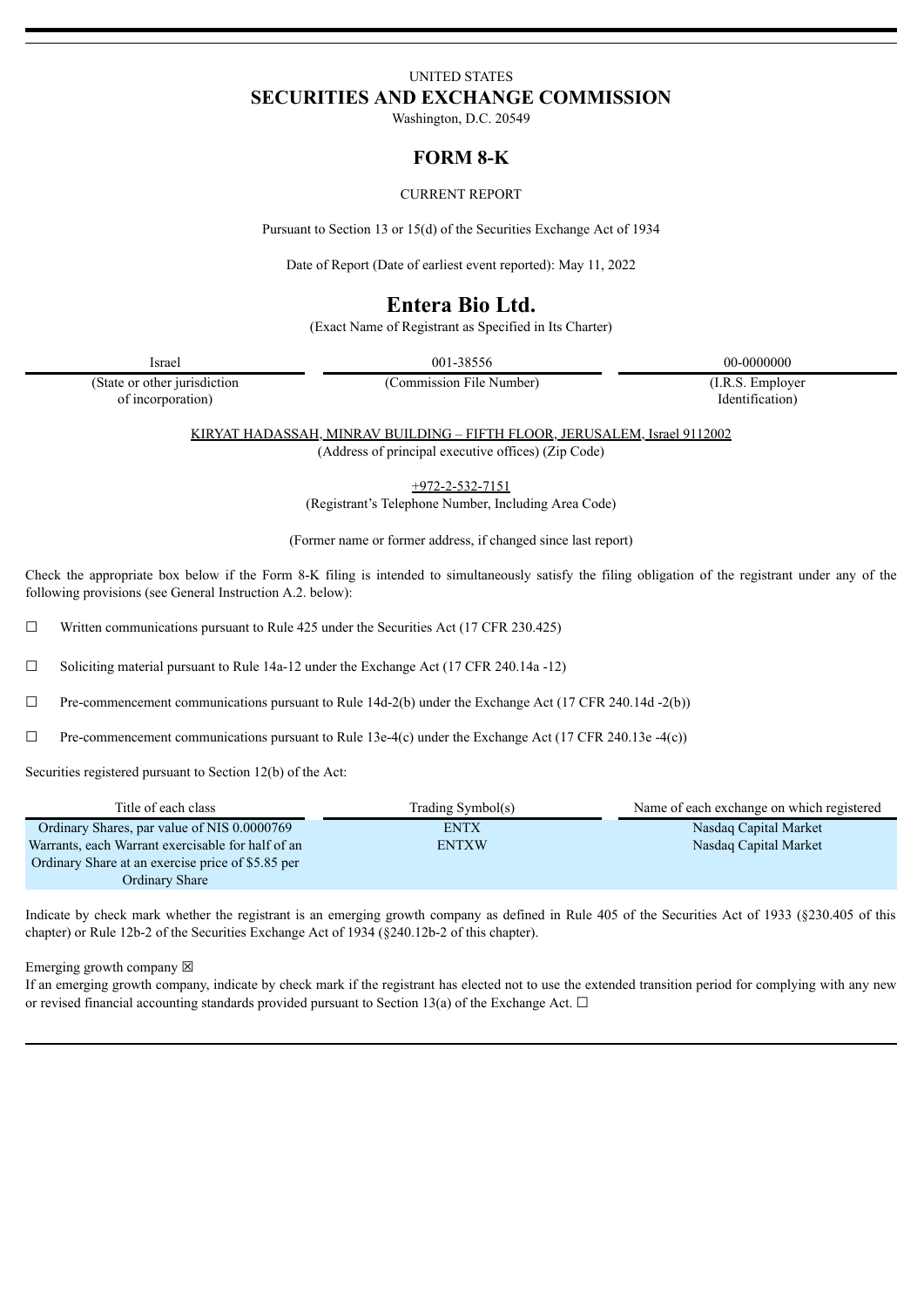## UNITED STATES **SECURITIES AND EXCHANGE COMMISSION**

Washington, D.C. 20549

## **FORM 8-K**

#### CURRENT REPORT

Pursuant to Section 13 or 15(d) of the Securities Exchange Act of 1934

Date of Report (Date of earliest event reported): May 11, 2022

# **Entera Bio Ltd.**

(Exact Name of Registrant as Specified in Its Charter)

Israel 001-38556 00-0000000

(State or other jurisdiction of incorporation)

(Commission File Number) (I.R.S. Employer

Identification)

KIRYAT HADASSAH, MINRAV BUILDING – FIFTH FLOOR, JERUSALEM, Israel 9112002 (Address of principal executive offices) (Zip Code)

+972-2-532-7151

(Registrant's Telephone Number, Including Area Code)

(Former name or former address, if changed since last report)

Check the appropriate box below if the Form 8-K filing is intended to simultaneously satisfy the filing obligation of the registrant under any of the following provisions (see General Instruction A.2. below):

 $\Box$  Written communications pursuant to Rule 425 under the Securities Act (17 CFR 230.425)

☐ Soliciting material pursuant to Rule 14a-12 under the Exchange Act (17 CFR 240.14a -12)

 $\Box$  Pre-commencement communications pursuant to Rule 14d-2(b) under the Exchange Act (17 CFR 240.14d -2(b))

☐ Pre-commencement communications pursuant to Rule 13e-4(c) under the Exchange Act (17 CFR 240.13e -4(c))

Securities registered pursuant to Section 12(b) of the Act:

| Title of each class                               | Trading Symbol(s) | Name of each exchange on which registered |
|---------------------------------------------------|-------------------|-------------------------------------------|
| Ordinary Shares, par value of NIS 0.0000769       | <b>ENTX</b>       | Nasdag Capital Market                     |
| Warrants, each Warrant exercisable for half of an | <b>ENTXW</b>      | Nasdag Capital Market                     |
| Ordinary Share at an exercise price of \$5.85 per |                   |                                           |
| Ordinary Share                                    |                   |                                           |

Indicate by check mark whether the registrant is an emerging growth company as defined in Rule 405 of the Securities Act of 1933 (§230.405 of this chapter) or Rule 12b-2 of the Securities Exchange Act of 1934 (§240.12b-2 of this chapter).

Emerging growth company  $\boxtimes$ 

If an emerging growth company, indicate by check mark if the registrant has elected not to use the extended transition period for complying with any new or revised financial accounting standards provided pursuant to Section 13(a) of the Exchange Act.  $\Box$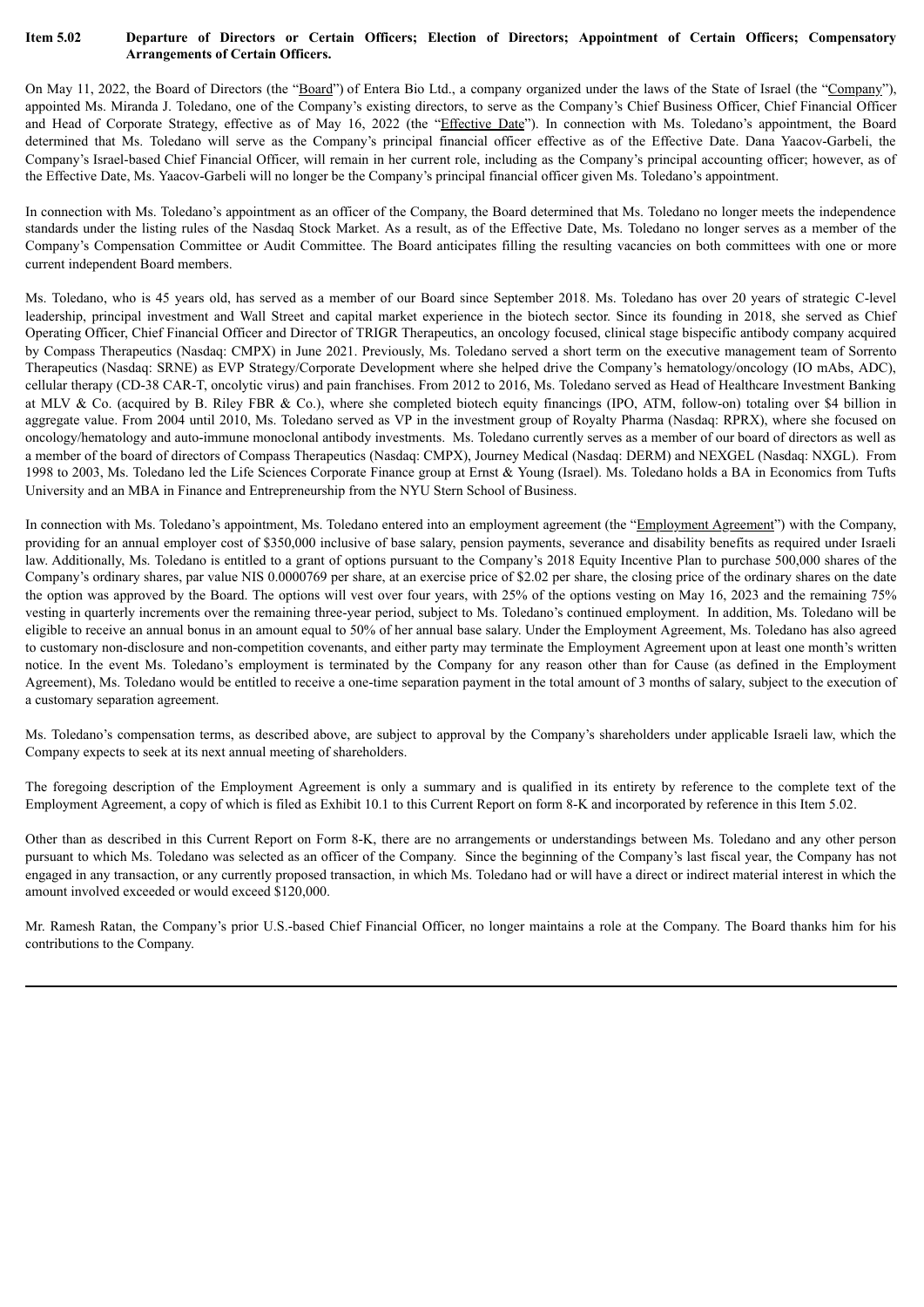#### Item 5.02 Departure of Directors or Certain Officers; Election of Directors; Appointment of Certain Officers; Compensatory **Arrangements of Certain Officers.**

On May 11, 2022, the Board of Directors (the "Board") of Entera Bio Ltd., a company organized under the laws of the State of Israel (the "Company"), appointed Ms. Miranda J. Toledano, one of the Company's existing directors, to serve as the Company's Chief Business Officer, Chief Financial Officer and Head of Corporate Strategy, effective as of May 16, 2022 (the "Effective Date"). In connection with Ms. Toledano's appointment, the Board determined that Ms. Toledano will serve as the Company's principal financial officer effective as of the Effective Date. Dana Yaacov-Garbeli, the Company's Israel-based Chief Financial Officer, will remain in her current role, including as the Company's principal accounting officer; however, as of the Effective Date, Ms. Yaacov-Garbeli will no longer be the Company's principal financial officer given Ms. Toledano's appointment.

In connection with Ms. Toledano's appointment as an officer of the Company, the Board determined that Ms. Toledano no longer meets the independence standards under the listing rules of the Nasdaq Stock Market. As a result, as of the Effective Date, Ms. Toledano no longer serves as a member of the Company's Compensation Committee or Audit Committee. The Board anticipates filling the resulting vacancies on both committees with one or more current independent Board members.

Ms. Toledano, who is 45 years old, has served as a member of our Board since September 2018. Ms. Toledano has over 20 years of strategic C-level leadership, principal investment and Wall Street and capital market experience in the biotech sector. Since its founding in 2018, she served as Chief Operating Officer, Chief Financial Officer and Director of TRIGR Therapeutics, an oncology focused, clinical stage bispecific antibody company acquired by Compass Therapeutics (Nasdaq: CMPX) in June 2021. Previously, Ms. Toledano served a short term on the executive management team of Sorrento Therapeutics (Nasdaq: SRNE) as EVP Strategy/Corporate Development where she helped drive the Company's hematology/oncology (IO mAbs, ADC), cellular therapy (CD-38 CAR-T, oncolytic virus) and pain franchises. From 2012 to 2016, Ms. Toledano served as Head of Healthcare Investment Banking at MLV & Co. (acquired by B. Riley FBR & Co.), where she completed biotech equity financings (IPO, ATM, follow-on) totaling over \$4 billion in aggregate value. From 2004 until 2010, Ms. Toledano served as VP in the investment group of Royalty Pharma (Nasdaq: RPRX), where she focused on oncology/hematology and auto-immune monoclonal antibody investments. Ms. Toledano currently serves as a member of our board of directors as well as a member of the board of directors of Compass Therapeutics (Nasdaq: CMPX), Journey Medical (Nasdaq: DERM) and NEXGEL (Nasdaq: NXGL). From 1998 to 2003, Ms. Toledano led the Life Sciences Corporate Finance group at Ernst & Young (Israel). Ms. Toledano holds a BA in Economics from Tufts University and an MBA in Finance and Entrepreneurship from the NYU Stern School of Business.

In connection with Ms. Toledano's appointment, Ms. Toledano entered into an employment agreement (the "Employment Agreement") with the Company, providing for an annual employer cost of \$350,000 inclusive of base salary, pension payments, severance and disability benefits as required under Israeli law. Additionally, Ms. Toledano is entitled to a grant of options pursuant to the Company's 2018 Equity Incentive Plan to purchase 500,000 shares of the Company's ordinary shares, par value NIS 0.0000769 per share, at an exercise price of \$2.02 per share, the closing price of the ordinary shares on the date the option was approved by the Board. The options will vest over four years, with 25% of the options vesting on May 16, 2023 and the remaining 75% vesting in quarterly increments over the remaining three-year period, subject to Ms. Toledano's continued employment. In addition, Ms. Toledano will be eligible to receive an annual bonus in an amount equal to 50% of her annual base salary. Under the Employment Agreement, Ms. Toledano has also agreed to customary non-disclosure and non-competition covenants, and either party may terminate the Employment Agreement upon at least one month's written notice. In the event Ms. Toledano's employment is terminated by the Company for any reason other than for Cause (as defined in the Employment Agreement), Ms. Toledano would be entitled to receive a one-time separation payment in the total amount of 3 months of salary, subject to the execution of a customary separation agreement.

Ms. Toledano's compensation terms, as described above, are subject to approval by the Company's shareholders under applicable Israeli law, which the Company expects to seek at its next annual meeting of shareholders.

The foregoing description of the Employment Agreement is only a summary and is qualified in its entirety by reference to the complete text of the Employment Agreement, a copy of which is filed as Exhibit 10.1 to this Current Report on form 8-K and incorporated by reference in this Item 5.02.

Other than as described in this Current Report on Form 8-K, there are no arrangements or understandings between Ms. Toledano and any other person pursuant to which Ms. Toledano was selected as an officer of the Company. Since the beginning of the Company's last fiscal year, the Company has not engaged in any transaction, or any currently proposed transaction, in which Ms. Toledano had or will have a direct or indirect material interest in which the amount involved exceeded or would exceed \$120,000.

Mr. Ramesh Ratan, the Company's prior U.S.-based Chief Financial Officer, no longer maintains a role at the Company. The Board thanks him for his contributions to the Company.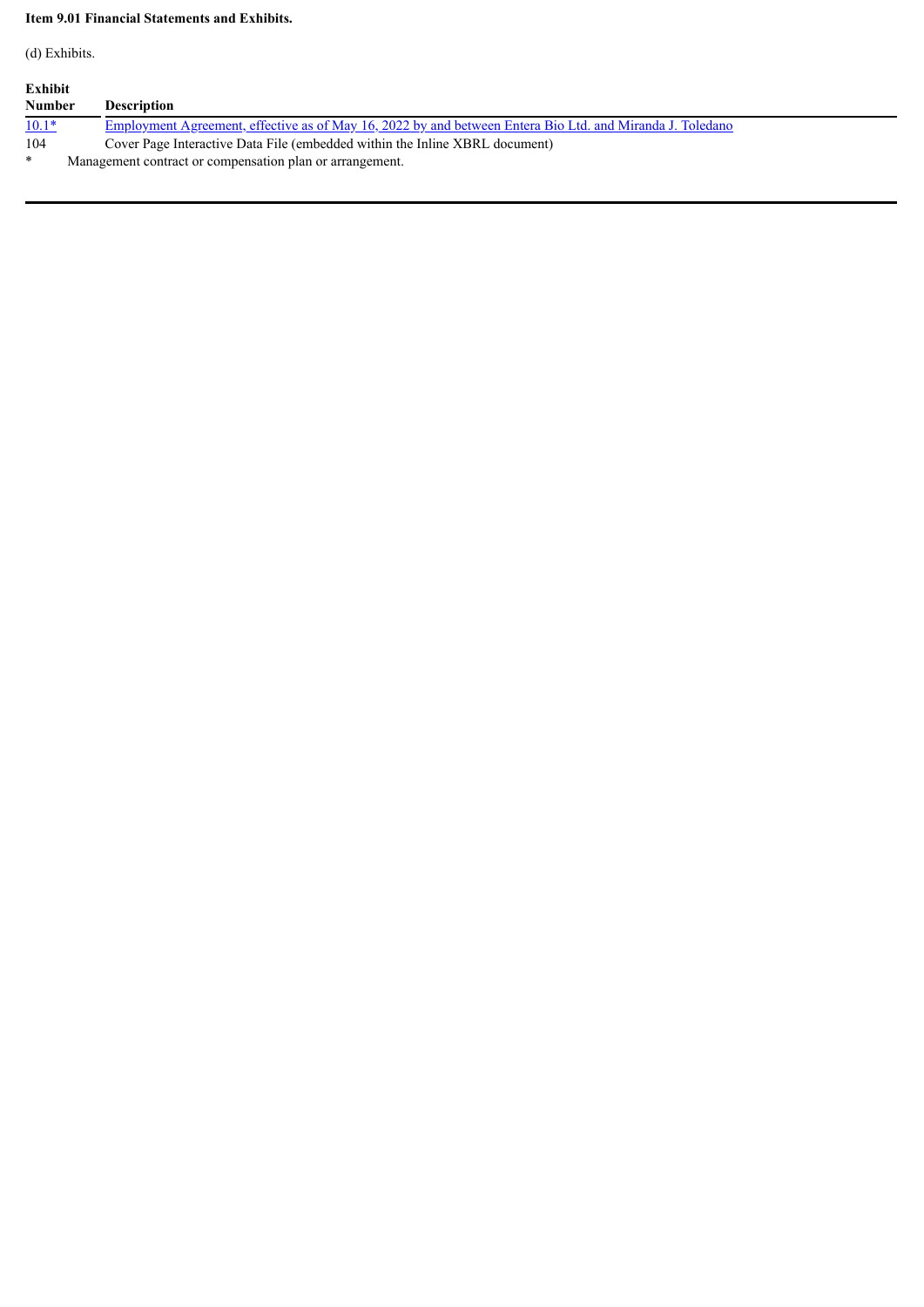## **Item 9.01 Financial Statements and Exhibits.**

(d) Exhibits.

| Exhibit       |                                                                                                           |  |  |  |
|---------------|-----------------------------------------------------------------------------------------------------------|--|--|--|
| <b>Number</b> | <b>Description</b>                                                                                        |  |  |  |
| $10.1*$       | Employment Agreement, effective as of May 16, 2022 by and between Entera Bio Ltd. and Miranda J. Toledano |  |  |  |
| 104           | Cover Page Interactive Data File (embedded within the Inline XBRL document)                               |  |  |  |
| $\ast$        | Management contract or compensation plan or arrangement.                                                  |  |  |  |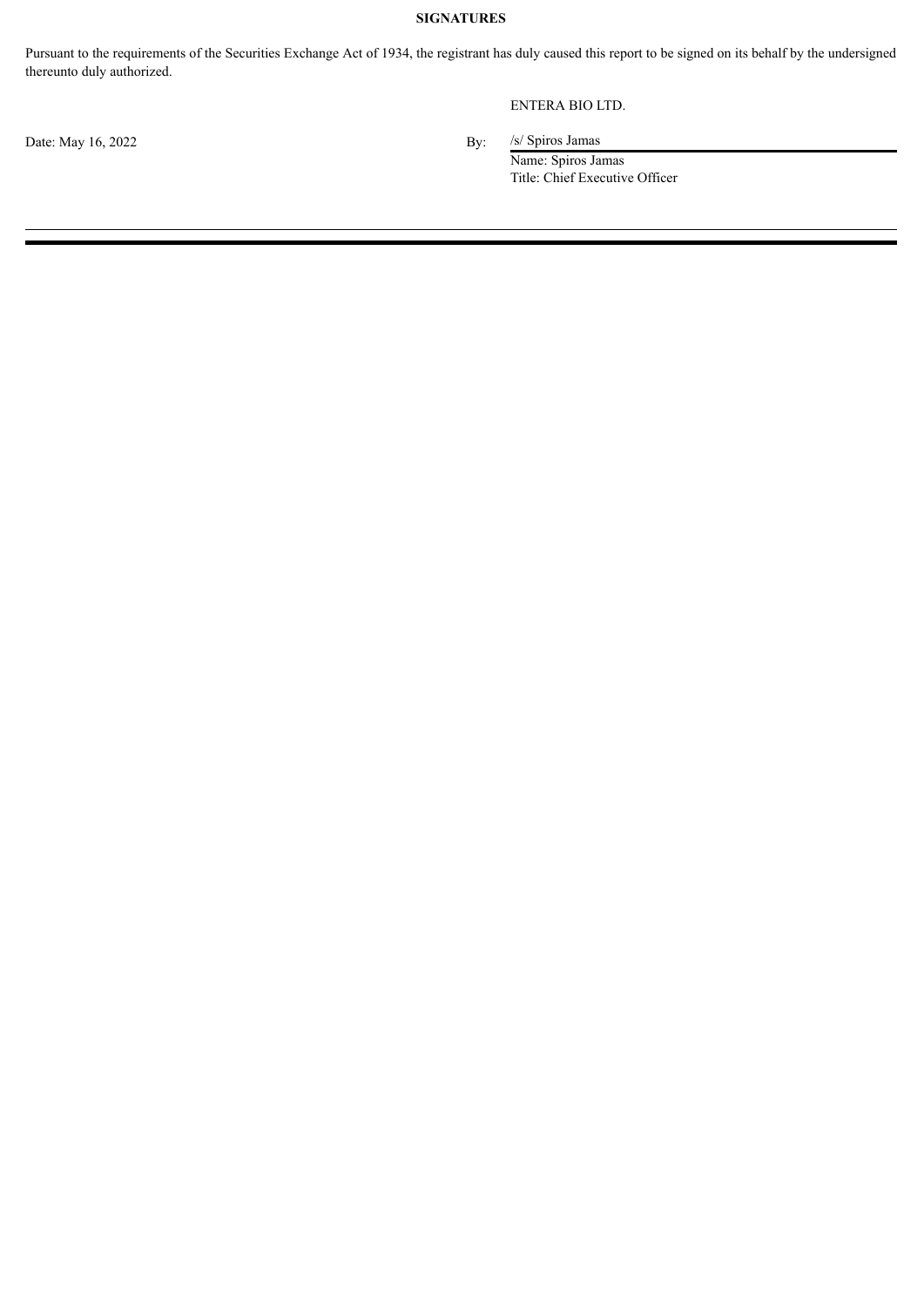## **SIGNATURES**

Pursuant to the requirements of the Securities Exchange Act of 1934, the registrant has duly caused this report to be signed on its behalf by the undersigned thereunto duly authorized.

## ENTERA BIO LTD.

Date: May 16, 2022 By:

/s/ Spiros Jamas

Name: Spiros Jamas Title: Chief Executive Officer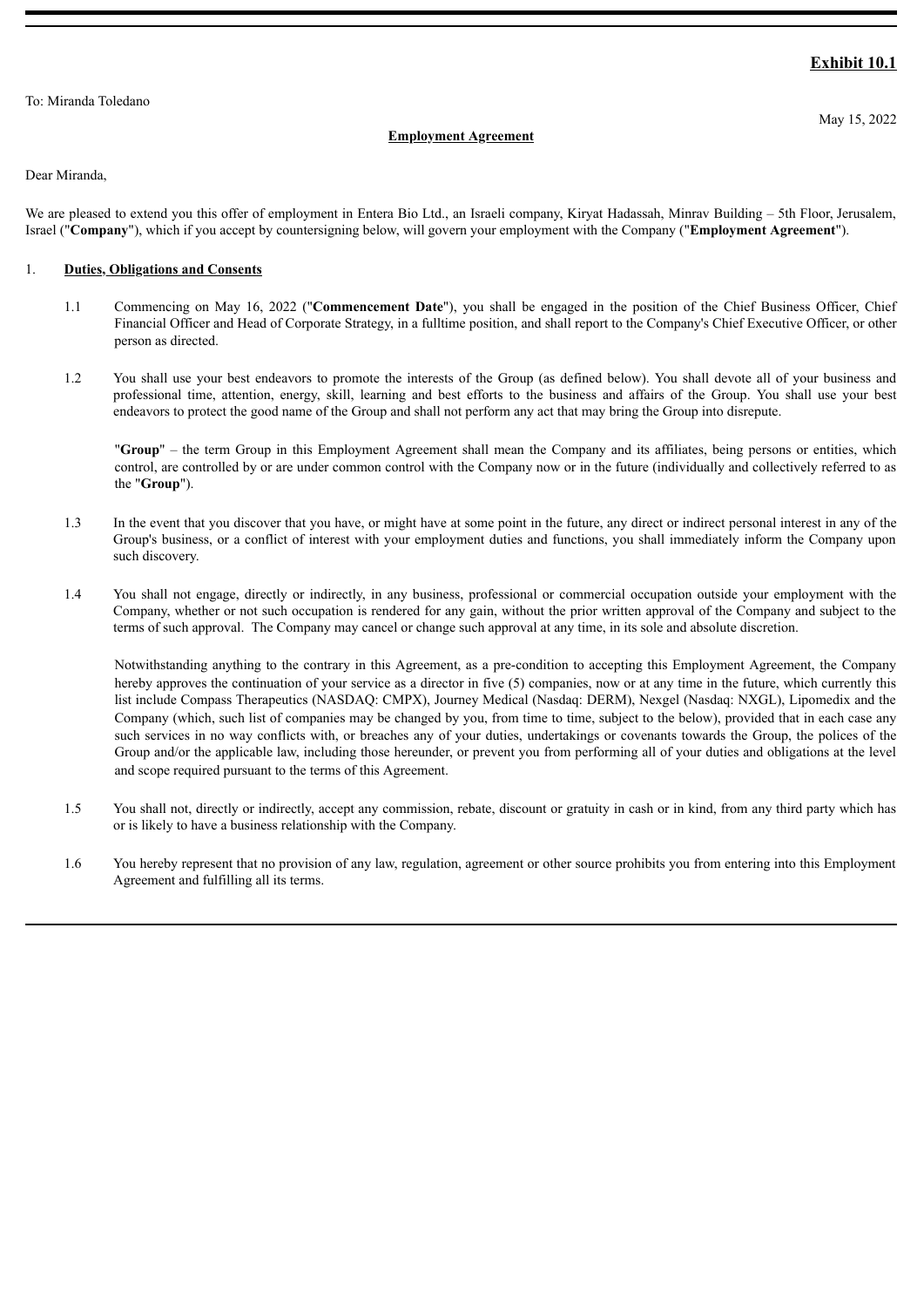#### <span id="page-4-0"></span>To: Miranda Toledano

## **Exhibit 10.1**

#### **Employment Agreement**

Dear Miranda,

We are pleased to extend you this offer of employment in Entera Bio Ltd., an Israeli company, Kiryat Hadassah, Minrav Building – 5th Floor, Jerusalem, Israel ("**Company**"), which if you accept by countersigning below, will govern your employment with the Company ("**Employment Agreement**").

### 1. **Duties, Obligations and Consents**

- 1.1 Commencing on May 16, 2022 ("**Commencement Date**"), you shall be engaged in the position of the Chief Business Officer, Chief Financial Officer and Head of Corporate Strategy, in a fulltime position, and shall report to the Company's Chief Executive Officer, or other person as directed.
- 1.2 You shall use your best endeavors to promote the interests of the Group (as defined below). You shall devote all of your business and professional time, attention, energy, skill, learning and best efforts to the business and affairs of the Group. You shall use your best endeavors to protect the good name of the Group and shall not perform any act that may bring the Group into disrepute.

"**Group**" – the term Group in this Employment Agreement shall mean the Company and its affiliates, being persons or entities, which control, are controlled by or are under common control with the Company now or in the future (individually and collectively referred to as the "**Group**").

- 1.3 In the event that you discover that you have, or might have at some point in the future, any direct or indirect personal interest in any of the Group's business, or a conflict of interest with your employment duties and functions, you shall immediately inform the Company upon such discovery.
- 1.4 You shall not engage, directly or indirectly, in any business, professional or commercial occupation outside your employment with the Company, whether or not such occupation is rendered for any gain, without the prior written approval of the Company and subject to the terms of such approval. The Company may cancel or change such approval at any time, in its sole and absolute discretion.

Notwithstanding anything to the contrary in this Agreement, as a pre-condition to accepting this Employment Agreement, the Company hereby approves the continuation of your service as a director in five (5) companies, now or at any time in the future, which currently this list include Compass Therapeutics (NASDAQ: CMPX), Journey Medical (Nasdaq: DERM), Nexgel (Nasdaq: NXGL), Lipomedix and the Company (which, such list of companies may be changed by you, from time to time, subject to the below), provided that in each case any such services in no way conflicts with, or breaches any of your duties, undertakings or covenants towards the Group, the polices of the Group and/or the applicable law, including those hereunder, or prevent you from performing all of your duties and obligations at the level and scope required pursuant to the terms of this Agreement.

- 1.5 You shall not, directly or indirectly, accept any commission, rebate, discount or gratuity in cash or in kind, from any third party which has or is likely to have a business relationship with the Company.
- 1.6 You hereby represent that no provision of any law, regulation, agreement or other source prohibits you from entering into this Employment Agreement and fulfilling all its terms.

May 15, 2022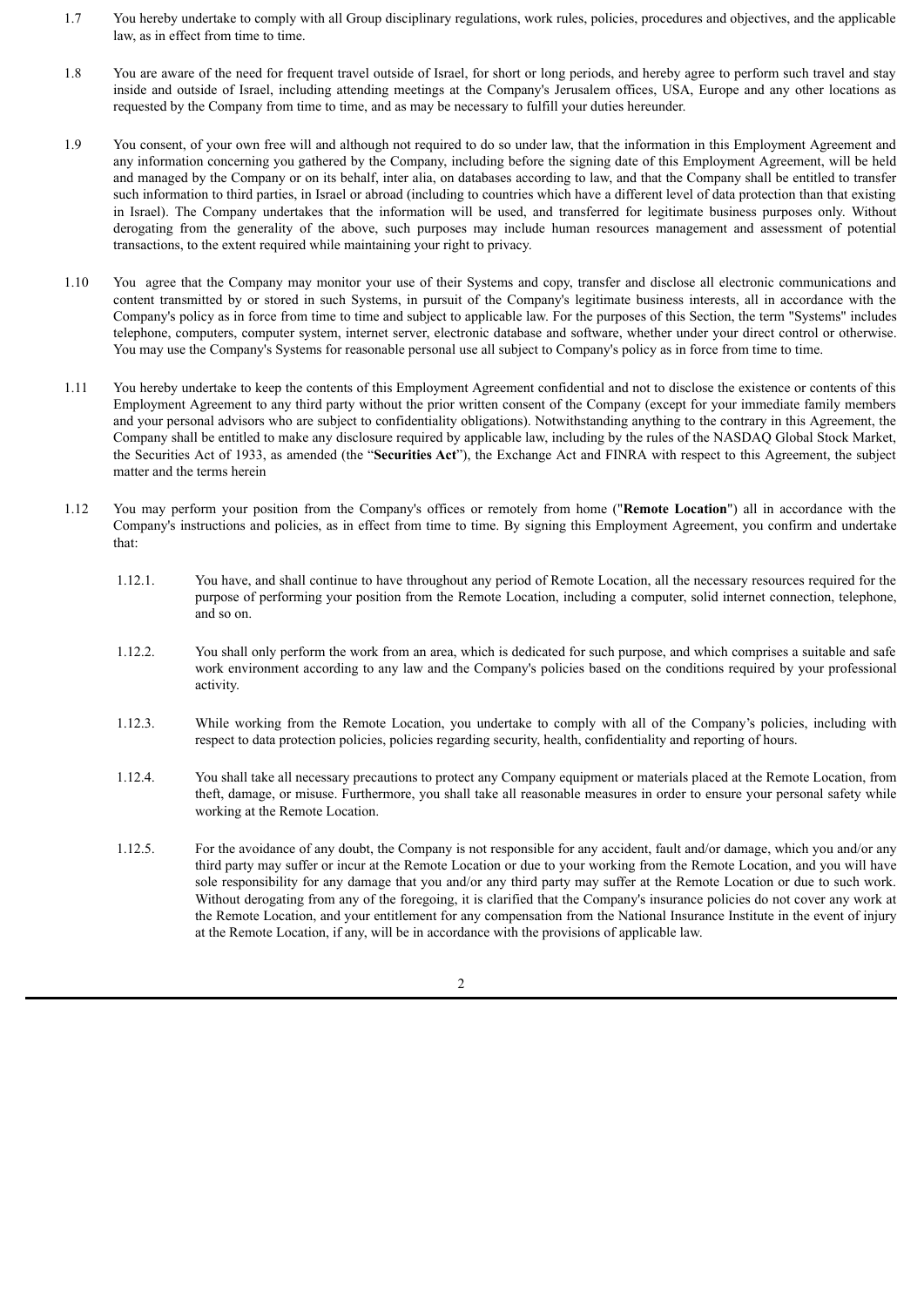- 1.7 You hereby undertake to comply with all Group disciplinary regulations, work rules, policies, procedures and objectives, and the applicable law, as in effect from time to time.
- 1.8 You are aware of the need for frequent travel outside of Israel, for short or long periods, and hereby agree to perform such travel and stay inside and outside of Israel, including attending meetings at the Company's Jerusalem offices, USA, Europe and any other locations as requested by the Company from time to time, and as may be necessary to fulfill your duties hereunder.
- 1.9 You consent, of your own free will and although not required to do so under law, that the information in this Employment Agreement and any information concerning you gathered by the Company, including before the signing date of this Employment Agreement, will be held and managed by the Company or on its behalf, inter alia, on databases according to law, and that the Company shall be entitled to transfer such information to third parties, in Israel or abroad (including to countries which have a different level of data protection than that existing in Israel). The Company undertakes that the information will be used, and transferred for legitimate business purposes only. Without derogating from the generality of the above, such purposes may include human resources management and assessment of potential transactions, to the extent required while maintaining your right to privacy.
- 1.10 You agree that the Company may monitor your use of their Systems and copy, transfer and disclose all electronic communications and content transmitted by or stored in such Systems, in pursuit of the Company's legitimate business interests, all in accordance with the Company's policy as in force from time to time and subject to applicable law. For the purposes of this Section, the term "Systems" includes telephone, computers, computer system, internet server, electronic database and software, whether under your direct control or otherwise. You may use the Company's Systems for reasonable personal use all subject to Company's policy as in force from time to time.
- 1.11 You hereby undertake to keep the contents of this Employment Agreement confidential and not to disclose the existence or contents of this Employment Agreement to any third party without the prior written consent of the Company (except for your immediate family members and your personal advisors who are subject to confidentiality obligations). Notwithstanding anything to the contrary in this Agreement, the Company shall be entitled to make any disclosure required by applicable law, including by the rules of the NASDAQ Global Stock Market, the Securities Act of 1933, as amended (the "**Securities Act**"), the Exchange Act and FINRA with respect to this Agreement, the subject matter and the terms herein
- 1.12 You may perform your position from the Company's offices or remotely from home ("**Remote Location**") all in accordance with the Company's instructions and policies, as in effect from time to time. By signing this Employment Agreement, you confirm and undertake that:
	- 1.12.1. You have, and shall continue to have throughout any period of Remote Location, all the necessary resources required for the purpose of performing your position from the Remote Location, including a computer, solid internet connection, telephone, and so on.
	- 1.12.2. You shall only perform the work from an area, which is dedicated for such purpose, and which comprises a suitable and safe work environment according to any law and the Company's policies based on the conditions required by your professional activity.
	- 1.12.3. While working from the Remote Location, you undertake to comply with all of the Company's policies, including with respect to data protection policies, policies regarding security, health, confidentiality and reporting of hours.
	- 1.12.4. You shall take all necessary precautions to protect any Company equipment or materials placed at the Remote Location, from theft, damage, or misuse. Furthermore, you shall take all reasonable measures in order to ensure your personal safety while working at the Remote Location.
	- 1.12.5. For the avoidance of any doubt, the Company is not responsible for any accident, fault and/or damage, which you and/or any third party may suffer or incur at the Remote Location or due to your working from the Remote Location, and you will have sole responsibility for any damage that you and/or any third party may suffer at the Remote Location or due to such work. Without derogating from any of the foregoing, it is clarified that the Company's insurance policies do not cover any work at the Remote Location, and your entitlement for any compensation from the National Insurance Institute in the event of injury at the Remote Location, if any, will be in accordance with the provisions of applicable law.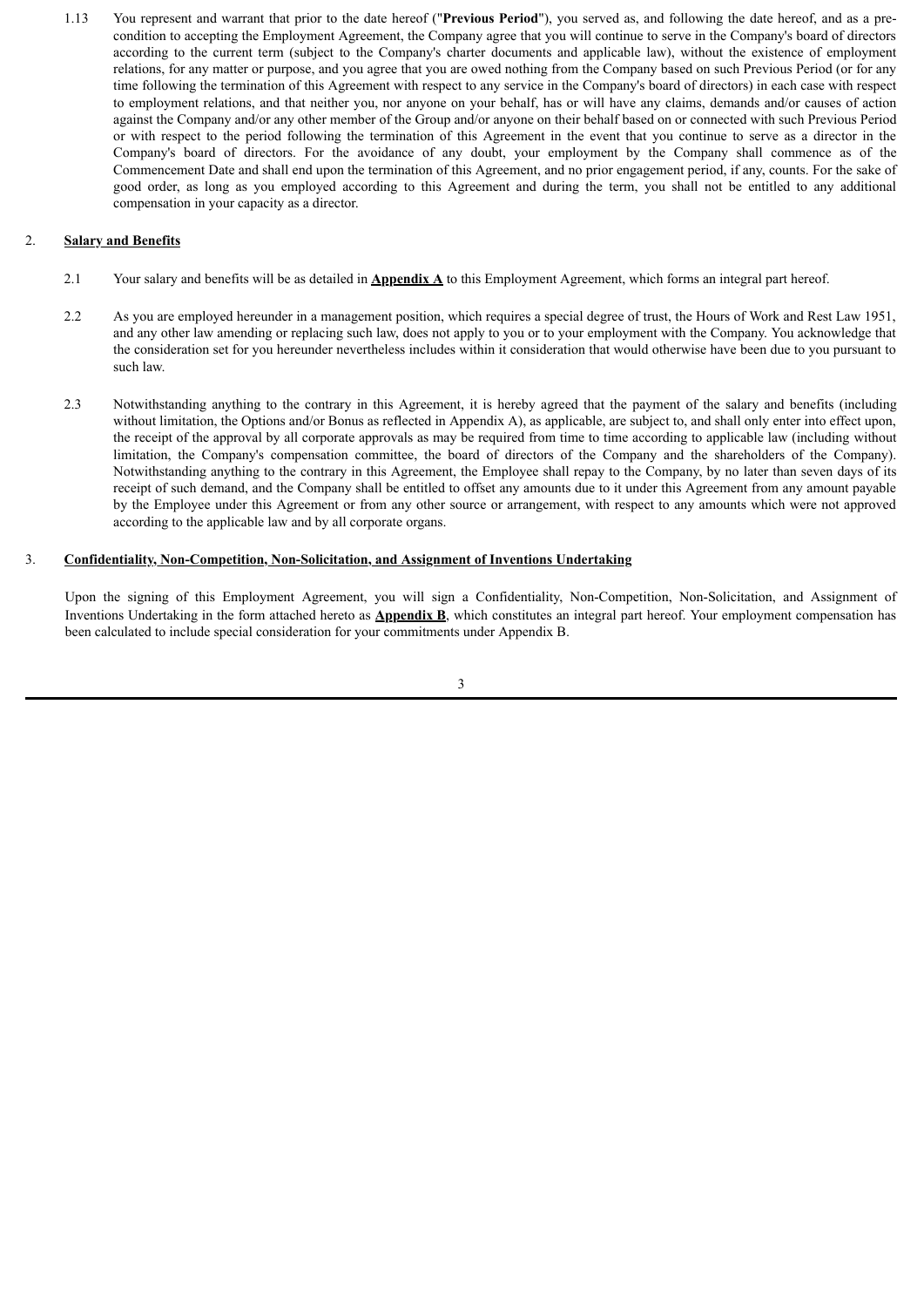1.13 You represent and warrant that prior to the date hereof ("**Previous Period**"), you served as, and following the date hereof, and as a precondition to accepting the Employment Agreement, the Company agree that you will continue to serve in the Company's board of directors according to the current term (subject to the Company's charter documents and applicable law), without the existence of employment relations, for any matter or purpose, and you agree that you are owed nothing from the Company based on such Previous Period (or for any time following the termination of this Agreement with respect to any service in the Company's board of directors) in each case with respect to employment relations, and that neither you, nor anyone on your behalf, has or will have any claims, demands and/or causes of action against the Company and/or any other member of the Group and/or anyone on their behalf based on or connected with such Previous Period or with respect to the period following the termination of this Agreement in the event that you continue to serve as a director in the Company's board of directors. For the avoidance of any doubt, your employment by the Company shall commence as of the Commencement Date and shall end upon the termination of this Agreement, and no prior engagement period, if any, counts. For the sake of good order, as long as you employed according to this Agreement and during the term, you shall not be entitled to any additional compensation in your capacity as a director.

#### 2. **Salary and Benefits**

- 2.1 Your salary and benefits will be as detailed in **Appendix A** to this Employment Agreement, which forms an integral part hereof.
- 2.2 As you are employed hereunder in a management position, which requires a special degree of trust, the Hours of Work and Rest Law 1951, and any other law amending or replacing such law, does not apply to you or to your employment with the Company. You acknowledge that the consideration set for you hereunder nevertheless includes within it consideration that would otherwise have been due to you pursuant to such law.
- 2.3 Notwithstanding anything to the contrary in this Agreement, it is hereby agreed that the payment of the salary and benefits (including without limitation, the Options and/or Bonus as reflected in Appendix A), as applicable, are subject to, and shall only enter into effect upon, the receipt of the approval by all corporate approvals as may be required from time to time according to applicable law (including without limitation, the Company's compensation committee, the board of directors of the Company and the shareholders of the Company). Notwithstanding anything to the contrary in this Agreement, the Employee shall repay to the Company, by no later than seven days of its receipt of such demand, and the Company shall be entitled to offset any amounts due to it under this Agreement from any amount payable by the Employee under this Agreement or from any other source or arrangement, with respect to any amounts which were not approved according to the applicable law and by all corporate organs.

#### 3. **Confidentiality, Non-Competition, Non-Solicitation, and Assignment of Inventions Undertaking**

Upon the signing of this Employment Agreement, you will sign a Confidentiality, Non-Competition, Non-Solicitation, and Assignment of Inventions Undertaking in the form attached hereto as **Appendix B**, which constitutes an integral part hereof. Your employment compensation has been calculated to include special consideration for your commitments under Appendix B.

3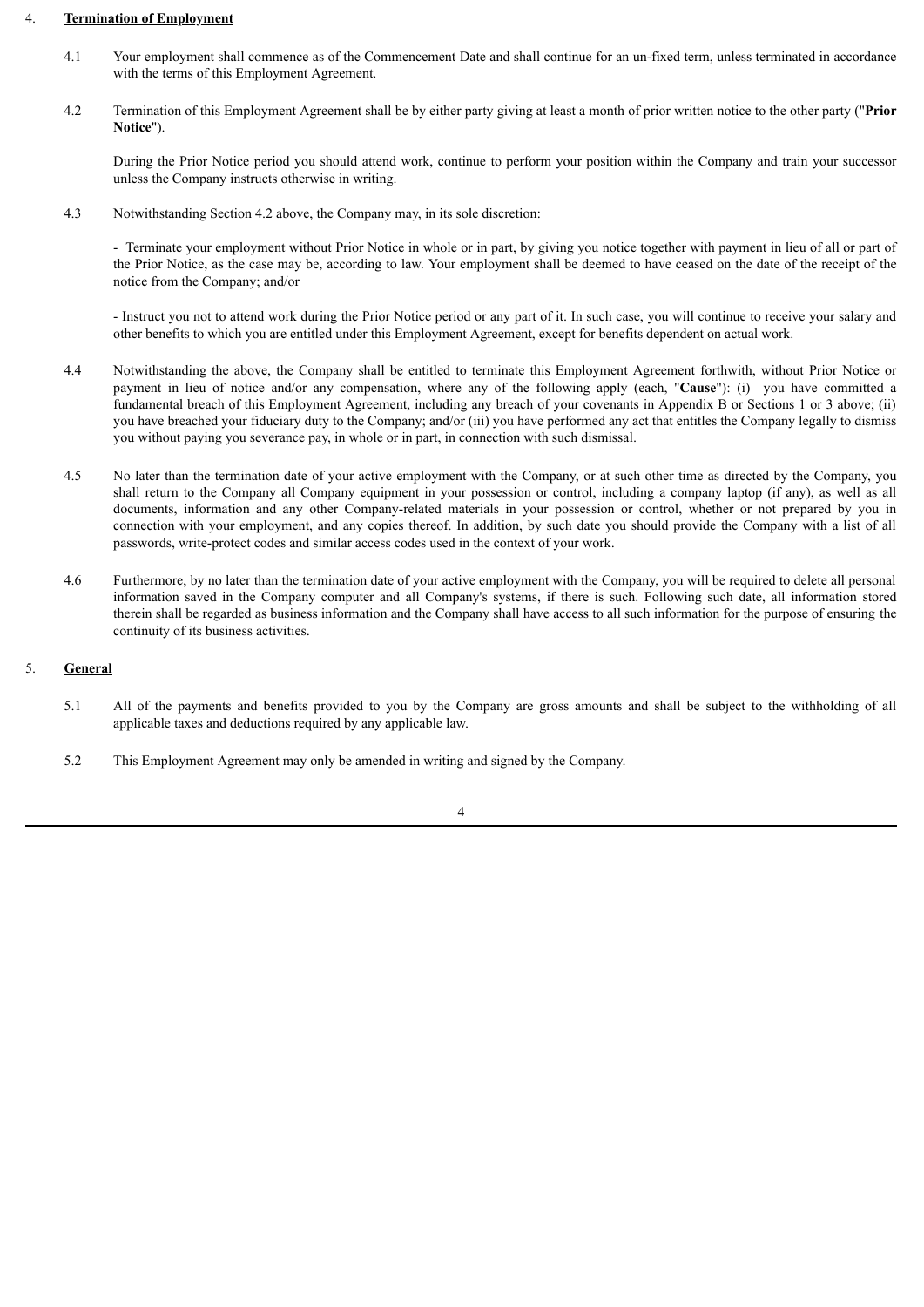#### 4. **Termination of Employment**

- 4.1 Your employment shall commence as of the Commencement Date and shall continue for an un-fixed term, unless terminated in accordance with the terms of this Employment Agreement.
- 4.2 Termination of this Employment Agreement shall be by either party giving at least a month of prior written notice to the other party ("**Prior Notice**").

During the Prior Notice period you should attend work, continue to perform your position within the Company and train your successor unless the Company instructs otherwise in writing.

4.3 Notwithstanding Section 4.2 above, the Company may, in its sole discretion:

- Terminate your employment without Prior Notice in whole or in part, by giving you notice together with payment in lieu of all or part of the Prior Notice, as the case may be, according to law. Your employment shall be deemed to have ceased on the date of the receipt of the notice from the Company; and/or

- Instruct you not to attend work during the Prior Notice period or any part of it. In such case, you will continue to receive your salary and other benefits to which you are entitled under this Employment Agreement, except for benefits dependent on actual work.

- 4.4 Notwithstanding the above, the Company shall be entitled to terminate this Employment Agreement forthwith, without Prior Notice or payment in lieu of notice and/or any compensation, where any of the following apply (each, "**Cause**"): (i) you have committed a fundamental breach of this Employment Agreement, including any breach of your covenants in Appendix B or Sections 1 or 3 above; (ii) you have breached your fiduciary duty to the Company; and/or (iii) you have performed any act that entitles the Company legally to dismiss you without paying you severance pay, in whole or in part, in connection with such dismissal.
- 4.5 No later than the termination date of your active employment with the Company, or at such other time as directed by the Company, you shall return to the Company all Company equipment in your possession or control, including a company laptop (if any), as well as all documents, information and any other Company-related materials in your possession or control, whether or not prepared by you in connection with your employment, and any copies thereof. In addition, by such date you should provide the Company with a list of all passwords, write-protect codes and similar access codes used in the context of your work.
- 4.6 Furthermore, by no later than the termination date of your active employment with the Company, you will be required to delete all personal information saved in the Company computer and all Company's systems, if there is such. Following such date, all information stored therein shall be regarded as business information and the Company shall have access to all such information for the purpose of ensuring the continuity of its business activities.

#### 5. **General**

- 5.1 All of the payments and benefits provided to you by the Company are gross amounts and shall be subject to the withholding of all applicable taxes and deductions required by any applicable law.
- 5.2 This Employment Agreement may only be amended in writing and signed by the Company.

4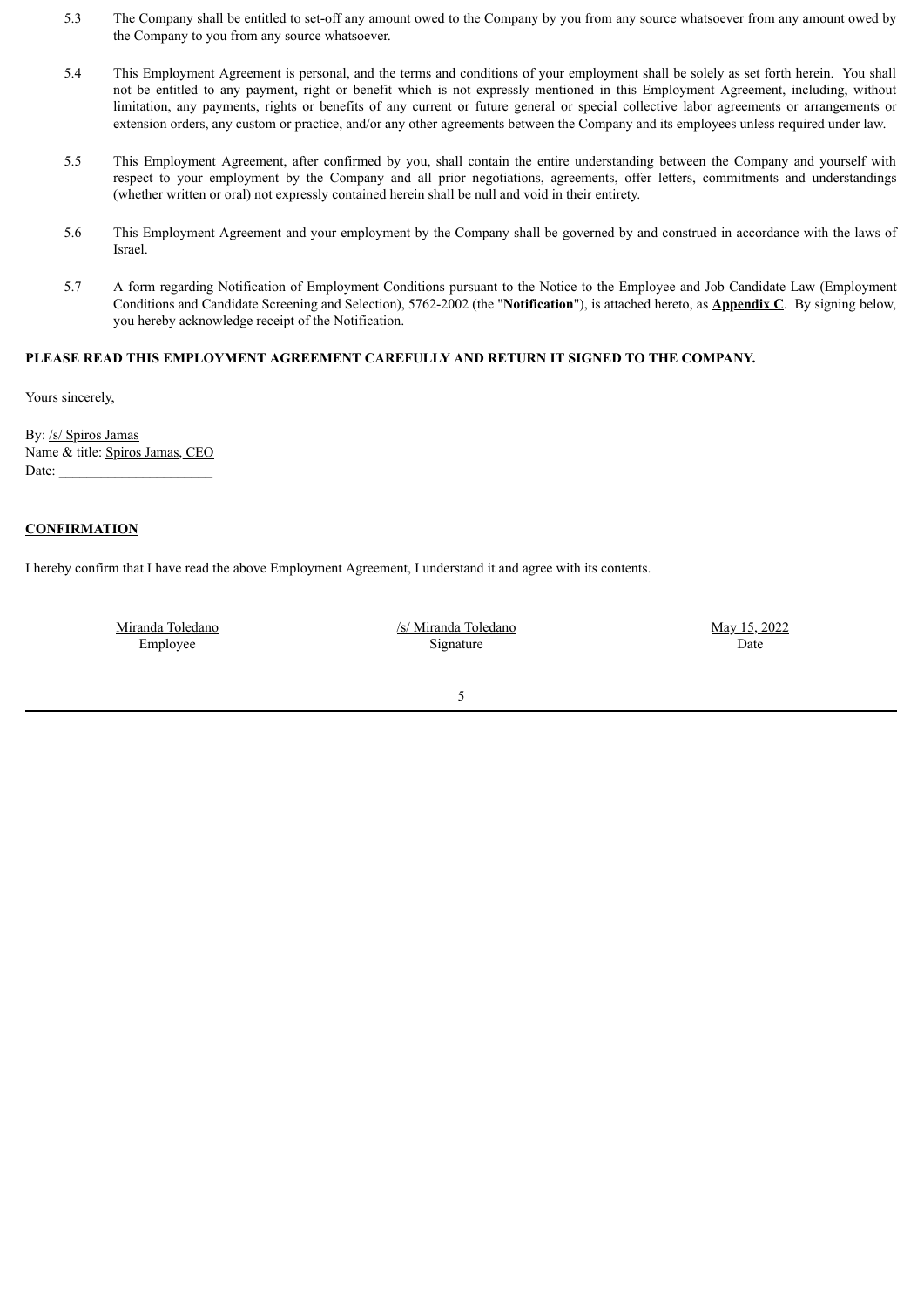- 5.3 The Company shall be entitled to set-off any amount owed to the Company by you from any source whatsoever from any amount owed by the Company to you from any source whatsoever.
- 5.4 This Employment Agreement is personal, and the terms and conditions of your employment shall be solely as set forth herein. You shall not be entitled to any payment, right or benefit which is not expressly mentioned in this Employment Agreement, including, without limitation, any payments, rights or benefits of any current or future general or special collective labor agreements or arrangements or extension orders, any custom or practice, and/or any other agreements between the Company and its employees unless required under law.
- 5.5 This Employment Agreement, after confirmed by you, shall contain the entire understanding between the Company and yourself with respect to your employment by the Company and all prior negotiations, agreements, offer letters, commitments and understandings (whether written or oral) not expressly contained herein shall be null and void in their entirety.
- 5.6 This Employment Agreement and your employment by the Company shall be governed by and construed in accordance with the laws of Israel.
- 5.7 A form regarding Notification of Employment Conditions pursuant to the Notice to the Employee and Job Candidate Law (Employment Conditions and Candidate Screening and Selection), 5762-2002 (the "**Notification**"), is attached hereto, as **Appendix C**. By signing below, you hereby acknowledge receipt of the Notification.

## **PLEASE READ THIS EMPLOYMENT AGREEMENT CAREFULLY AND RETURN IT SIGNED TO THE COMPANY.**

Yours sincerely,

By: /s/ Spiros Jamas Name & title: Spiros Jamas, CEO Date:

## **CONFIRMATION**

I hereby confirm that I have read the above Employment Agreement, I understand it and agree with its contents.

Miranda Toledano Employee

/s/ Miranda Toledano Signature

May 15, 2022 Date

5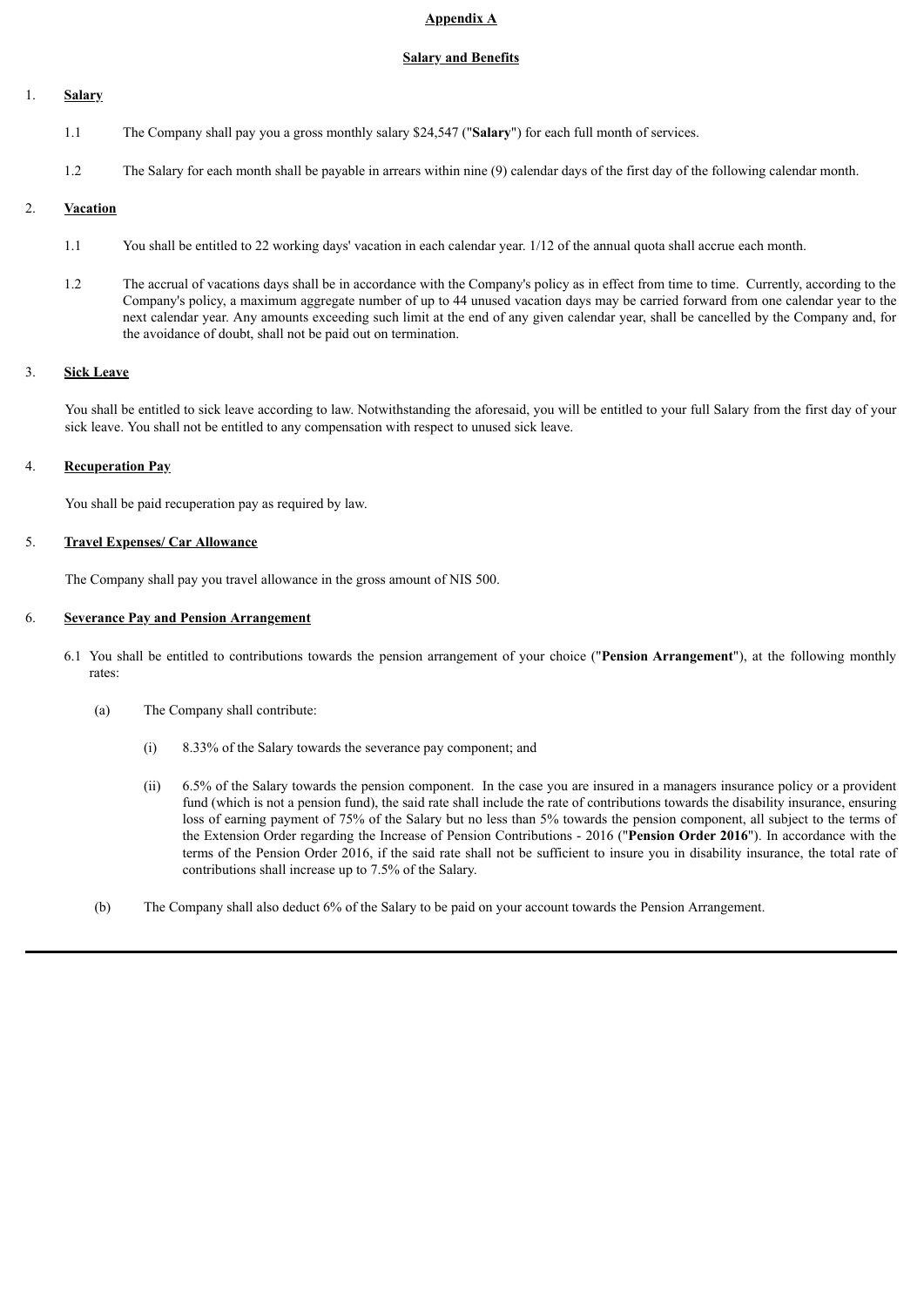### **Appendix A**

### **Salary and Benefits**

## 1. **Salary**

- 1.1 The Company shall pay you a gross monthly salary \$24,547 ("**Salary**") for each full month of services.
- 1.2 The Salary for each month shall be payable in arrears within nine (9) calendar days of the first day of the following calendar month.

## 2. **Vacation**

- 1.1 You shall be entitled to 22 working days' vacation in each calendar year. 1/12 of the annual quota shall accrue each month.
- 1.2 The accrual of vacations days shall be in accordance with the Company's policy as in effect from time to time. Currently, according to the Company's policy, a maximum aggregate number of up to 44 unused vacation days may be carried forward from one calendar year to the next calendar year. Any amounts exceeding such limit at the end of any given calendar year, shall be cancelled by the Company and, for the avoidance of doubt, shall not be paid out on termination.

## 3. **Sick Leave**

You shall be entitled to sick leave according to law. Notwithstanding the aforesaid, you will be entitled to your full Salary from the first day of your sick leave. You shall not be entitled to any compensation with respect to unused sick leave.

## 4. **Recuperation Pay**

You shall be paid recuperation pay as required by law.

## 5. **Travel Expenses/ Car Allowance**

The Company shall pay you travel allowance in the gross amount of NIS 500.

## 6. **Severance Pay and Pension Arrangement**

- 6.1 You shall be entitled to contributions towards the pension arrangement of your choice ("**Pension Arrangement**"), at the following monthly rates:
	- (a) The Company shall contribute:
		- (i) 8.33% of the Salary towards the severance pay component; and
		- (ii) 6.5% of the Salary towards the pension component. In the case you are insured in a managers insurance policy or a provident fund (which is not a pension fund), the said rate shall include the rate of contributions towards the disability insurance, ensuring loss of earning payment of 75% of the Salary but no less than 5% towards the pension component, all subject to the terms of the Extension Order regarding the Increase of Pension Contributions - 2016 ("**Pension Order 2016**"). In accordance with the terms of the Pension Order 2016, if the said rate shall not be sufficient to insure you in disability insurance, the total rate of contributions shall increase up to 7.5% of the Salary.
	- (b) The Company shall also deduct 6% of the Salary to be paid on your account towards the Pension Arrangement.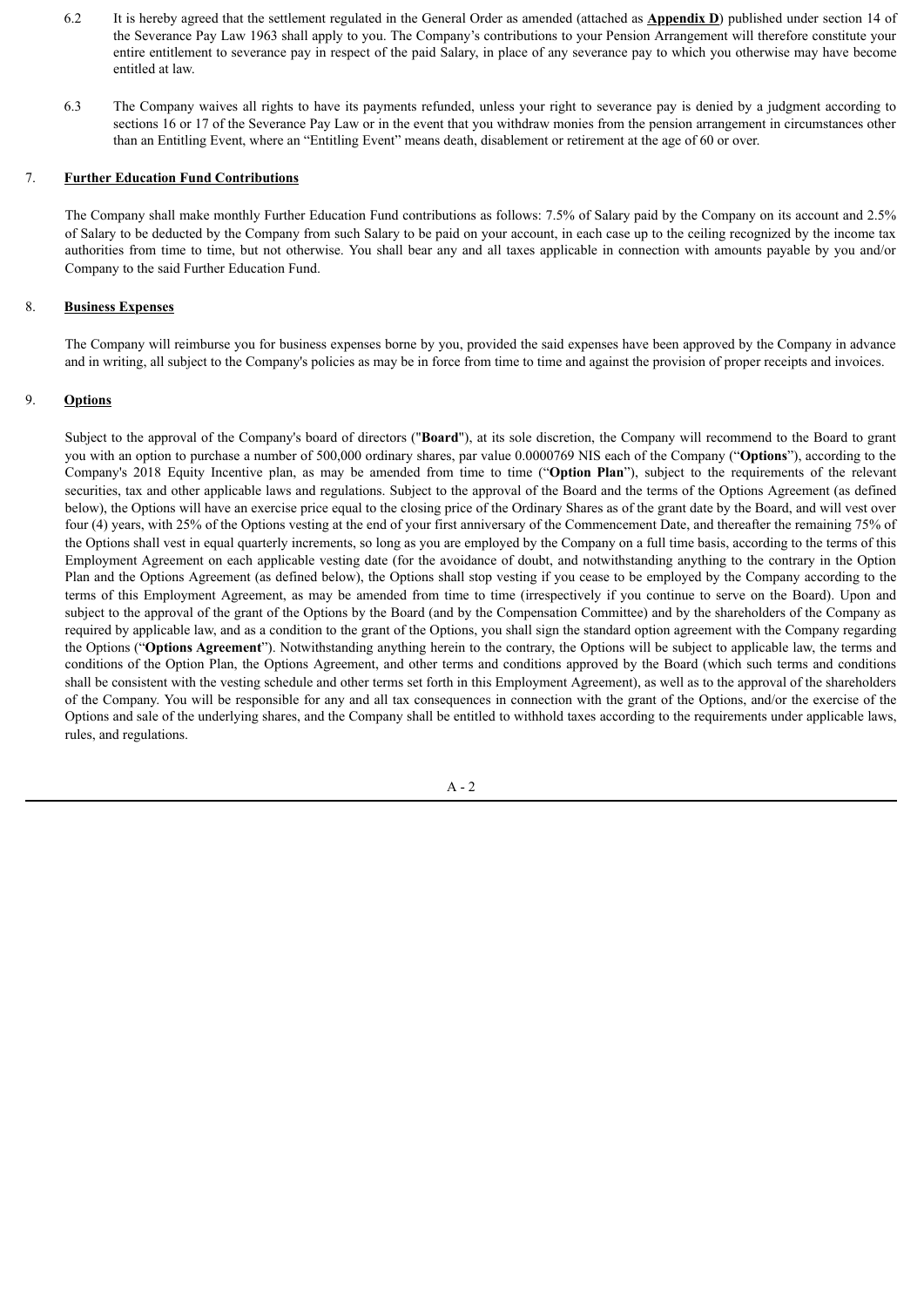- 6.2 It is hereby agreed that the settlement regulated in the General Order as amended (attached as **Appendix D**) published under section 14 of the Severance Pay Law 1963 shall apply to you. The Company's contributions to your Pension Arrangement will therefore constitute your entire entitlement to severance pay in respect of the paid Salary, in place of any severance pay to which you otherwise may have become entitled at law.
- 6.3 The Company waives all rights to have its payments refunded, unless your right to severance pay is denied by a judgment according to sections 16 or 17 of the Severance Pay Law or in the event that you withdraw monies from the pension arrangement in circumstances other than an Entitling Event, where an "Entitling Event" means death, disablement or retirement at the age of 60 or over.

#### 7. **Further Education Fund Contributions**

The Company shall make monthly Further Education Fund contributions as follows: 7.5% of Salary paid by the Company on its account and 2.5% of Salary to be deducted by the Company from such Salary to be paid on your account, in each case up to the ceiling recognized by the income tax authorities from time to time, but not otherwise. You shall bear any and all taxes applicable in connection with amounts payable by you and/or Company to the said Further Education Fund.

#### 8. **Business Expenses**

The Company will reimburse you for business expenses borne by you, provided the said expenses have been approved by the Company in advance and in writing, all subject to the Company's policies as may be in force from time to time and against the provision of proper receipts and invoices.

## 9. **Options**

Subject to the approval of the Company's board of directors ("**Board**"), at its sole discretion, the Company will recommend to the Board to grant you with an option to purchase a number of 500,000 ordinary shares, par value 0.0000769 NIS each of the Company ("**Options**"), according to the Company's 2018 Equity Incentive plan, as may be amended from time to time ("**Option Plan**"), subject to the requirements of the relevant securities, tax and other applicable laws and regulations. Subject to the approval of the Board and the terms of the Options Agreement (as defined below), the Options will have an exercise price equal to the closing price of the Ordinary Shares as of the grant date by the Board, and will vest over four (4) years, with 25% of the Options vesting at the end of your first anniversary of the Commencement Date, and thereafter the remaining 75% of the Options shall vest in equal quarterly increments, so long as you are employed by the Company on a full time basis, according to the terms of this Employment Agreement on each applicable vesting date (for the avoidance of doubt, and notwithstanding anything to the contrary in the Option Plan and the Options Agreement (as defined below), the Options shall stop vesting if you cease to be employed by the Company according to the terms of this Employment Agreement, as may be amended from time to time (irrespectively if you continue to serve on the Board). Upon and subject to the approval of the grant of the Options by the Board (and by the Compensation Committee) and by the shareholders of the Company as required by applicable law, and as a condition to the grant of the Options, you shall sign the standard option agreement with the Company regarding the Options ("**Options Agreement**"). Notwithstanding anything herein to the contrary, the Options will be subject to applicable law, the terms and conditions of the Option Plan, the Options Agreement, and other terms and conditions approved by the Board (which such terms and conditions shall be consistent with the vesting schedule and other terms set forth in this Employment Agreement), as well as to the approval of the shareholders of the Company. You will be responsible for any and all tax consequences in connection with the grant of the Options, and/or the exercise of the Options and sale of the underlying shares, and the Company shall be entitled to withhold taxes according to the requirements under applicable laws, rules, and regulations.

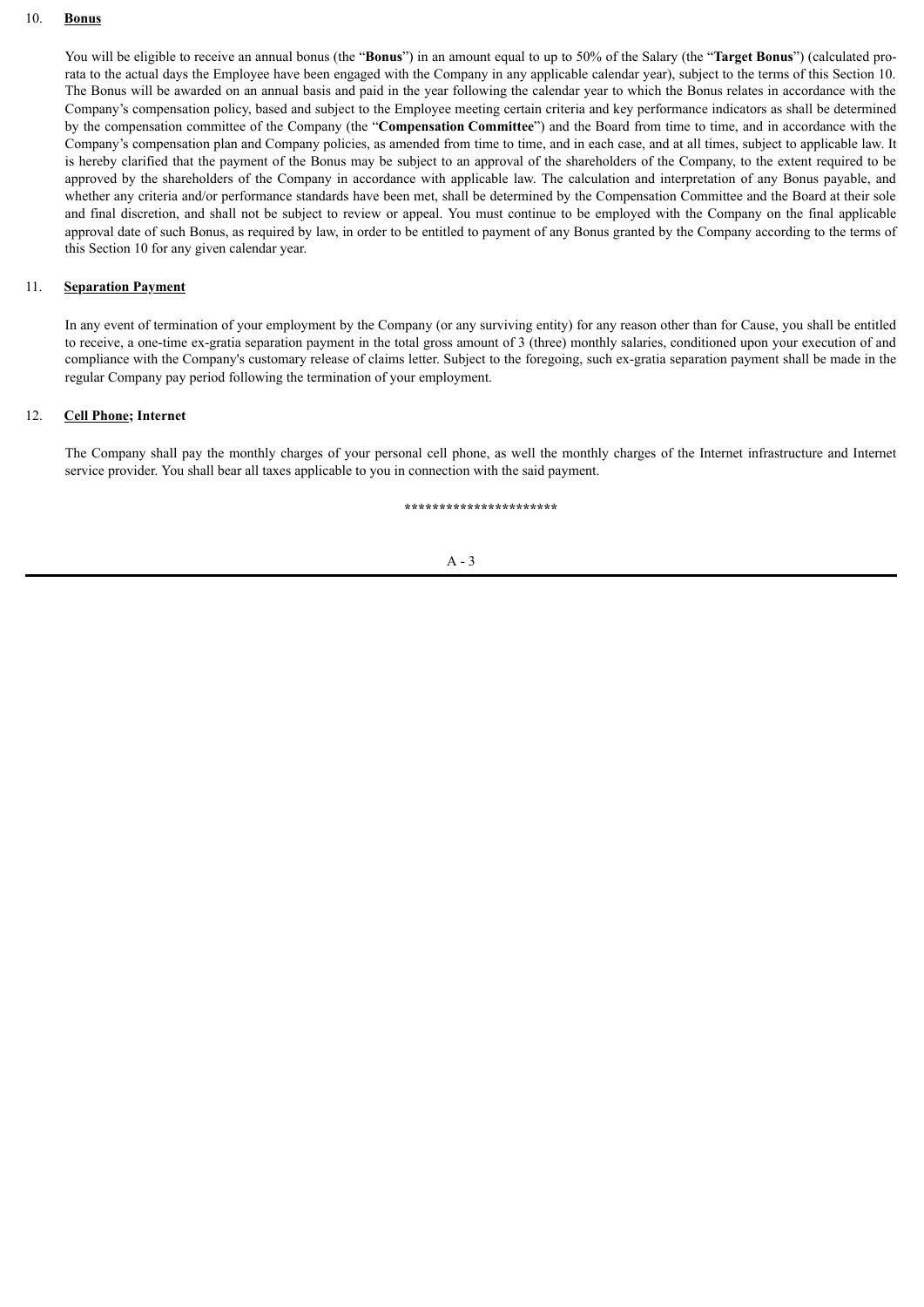#### 10. **Bonus**

You will be eligible to receive an annual bonus (the "**Bonus**") in an amount equal to up to 50% of the Salary (the "**Target Bonus**") (calculated prorata to the actual days the Employee have been engaged with the Company in any applicable calendar year), subject to the terms of this Section 10. The Bonus will be awarded on an annual basis and paid in the year following the calendar year to which the Bonus relates in accordance with the Company's compensation policy, based and subject to the Employee meeting certain criteria and key performance indicators as shall be determined by the compensation committee of the Company (the "**Compensation Committee**") and the Board from time to time, and in accordance with the Company's compensation plan and Company policies, as amended from time to time, and in each case, and at all times, subject to applicable law. It is hereby clarified that the payment of the Bonus may be subject to an approval of the shareholders of the Company, to the extent required to be approved by the shareholders of the Company in accordance with applicable law. The calculation and interpretation of any Bonus payable, and whether any criteria and/or performance standards have been met, shall be determined by the Compensation Committee and the Board at their sole and final discretion, and shall not be subject to review or appeal. You must continue to be employed with the Company on the final applicable approval date of such Bonus, as required by law, in order to be entitled to payment of any Bonus granted by the Company according to the terms of this Section 10 for any given calendar year.

#### 11. **Separation Payment**

In any event of termination of your employment by the Company (or any surviving entity) for any reason other than for Cause, you shall be entitled to receive, a one-time ex-gratia separation payment in the total gross amount of 3 (three) monthly salaries, conditioned upon your execution of and compliance with the Company's customary release of claims letter. Subject to the foregoing, such ex-gratia separation payment shall be made in the regular Company pay period following the termination of your employment.

#### 12. **Cell Phone; Internet**

The Company shall pay the monthly charges of your personal cell phone, as well the monthly charges of the Internet infrastructure and Internet service provider. You shall bear all taxes applicable to you in connection with the said payment.

**\*\*\*\*\*\*\*\*\*\*\*\*\*\*\*\*\*\*\*\*\*\***

#### A - 3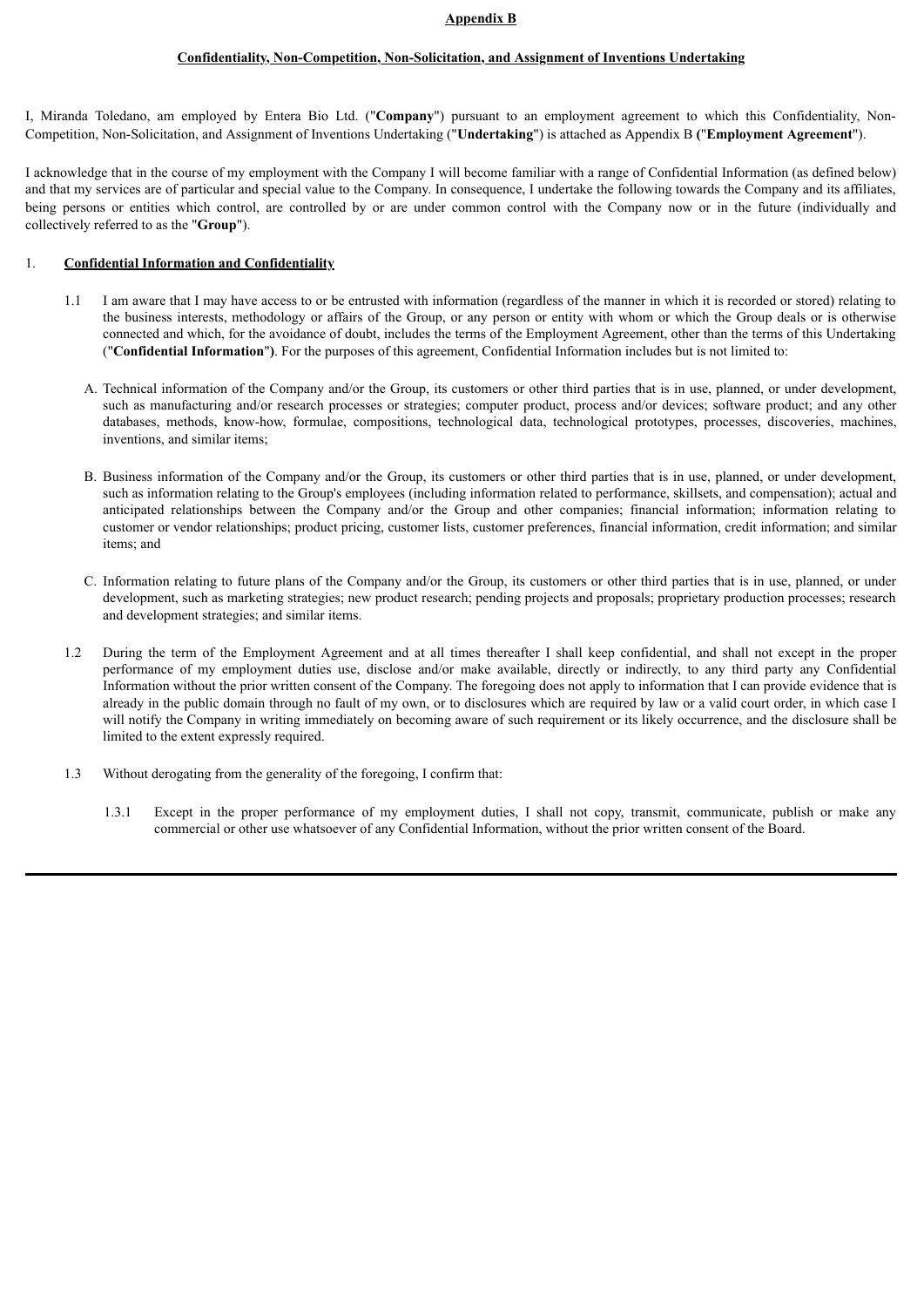#### **Appendix B**

#### **Confidentiality, Non-Competition, Non-Solicitation, and Assignment of Inventions Undertaking**

I, Miranda Toledano, am employed by Entera Bio Ltd. ("**Company**") pursuant to an employment agreement to which this Confidentiality, Non-Competition, Non-Solicitation, and Assignment of Inventions Undertaking ("**Undertaking**") is attached as Appendix B **(**"**Employment Agreement**").

I acknowledge that in the course of my employment with the Company I will become familiar with a range of Confidential Information (as defined below) and that my services are of particular and special value to the Company. In consequence, I undertake the following towards the Company and its affiliates, being persons or entities which control, are controlled by or are under common control with the Company now or in the future (individually and collectively referred to as the "**Group**").

#### 1. **Confidential Information and Confidentiality**

- 1.1 I am aware that I may have access to or be entrusted with information (regardless of the manner in which it is recorded or stored) relating to the business interests, methodology or affairs of the Group, or any person or entity with whom or which the Group deals or is otherwise connected and which, for the avoidance of doubt, includes the terms of the Employment Agreement, other than the terms of this Undertaking ("**Confidential Information**"**)**. For the purposes of this agreement, Confidential Information includes but is not limited to:
	- A. Technical information of the Company and/or the Group, its customers or other third parties that is in use, planned, or under development, such as manufacturing and/or research processes or strategies; computer product, process and/or devices; software product; and any other databases, methods, know-how, formulae, compositions, technological data, technological prototypes, processes, discoveries, machines, inventions, and similar items;
	- B. Business information of the Company and/or the Group, its customers or other third parties that is in use, planned, or under development, such as information relating to the Group's employees (including information related to performance, skillsets, and compensation); actual and anticipated relationships between the Company and/or the Group and other companies; financial information; information relating to customer or vendor relationships; product pricing, customer lists, customer preferences, financial information, credit information; and similar items; and
	- C. Information relating to future plans of the Company and/or the Group, its customers or other third parties that is in use, planned, or under development, such as marketing strategies; new product research; pending projects and proposals; proprietary production processes; research and development strategies; and similar items.
- 1.2 During the term of the Employment Agreement and at all times thereafter I shall keep confidential, and shall not except in the proper performance of my employment duties use, disclose and/or make available, directly or indirectly, to any third party any Confidential Information without the prior written consent of the Company. The foregoing does not apply to information that I can provide evidence that is already in the public domain through no fault of my own, or to disclosures which are required by law or a valid court order, in which case I will notify the Company in writing immediately on becoming aware of such requirement or its likely occurrence, and the disclosure shall be limited to the extent expressly required.
- 1.3 Without derogating from the generality of the foregoing, I confirm that:
	- 1.3.1 Except in the proper performance of my employment duties, I shall not copy, transmit, communicate, publish or make any commercial or other use whatsoever of any Confidential Information, without the prior written consent of the Board.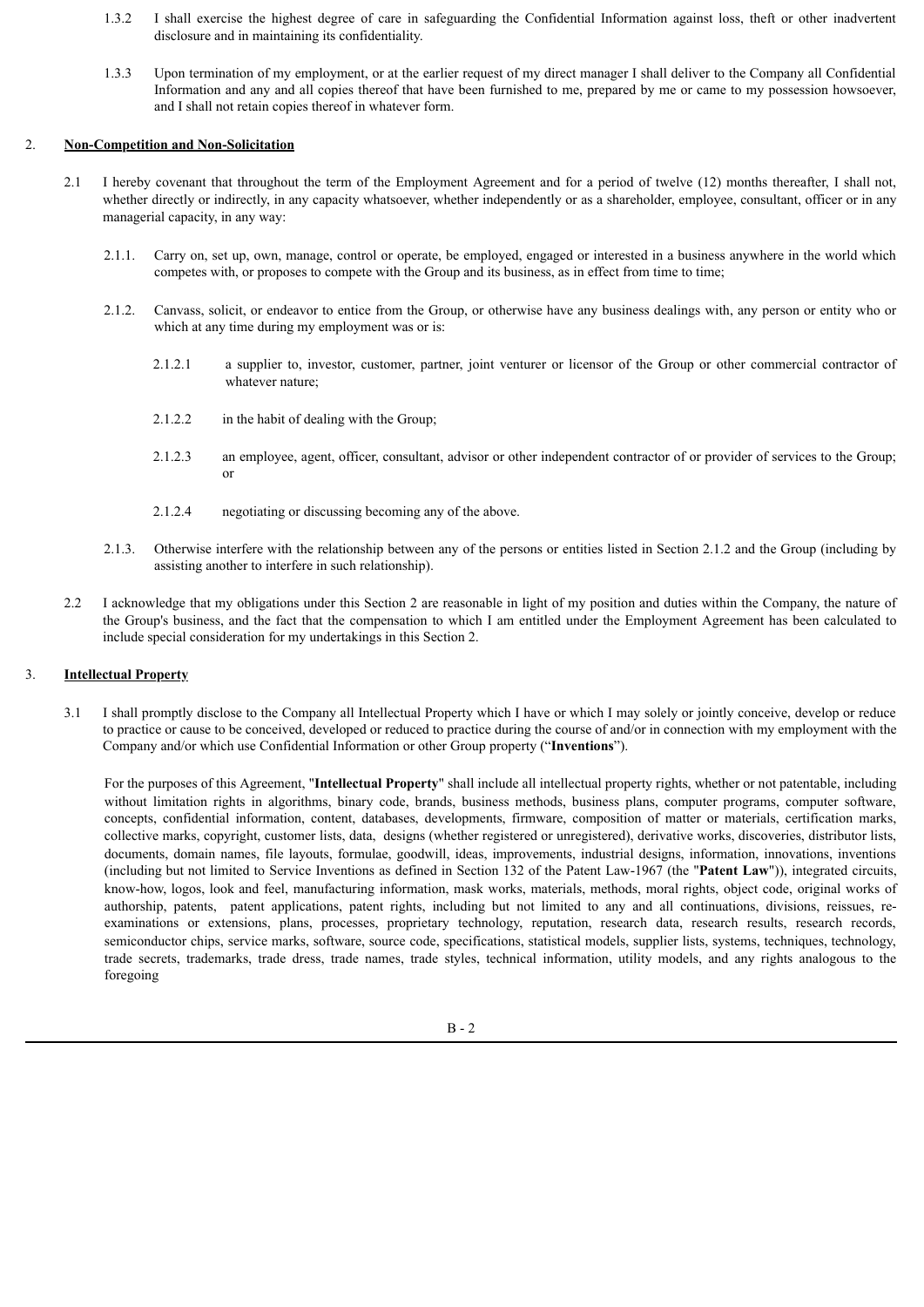- 1.3.2 I shall exercise the highest degree of care in safeguarding the Confidential Information against loss, theft or other inadvertent disclosure and in maintaining its confidentiality.
- 1.3.3 Upon termination of my employment, or at the earlier request of my direct manager I shall deliver to the Company all Confidential Information and any and all copies thereof that have been furnished to me, prepared by me or came to my possession howsoever, and I shall not retain copies thereof in whatever form.

#### 2. **Non-Competition and Non-Solicitation**

- 2.1 I hereby covenant that throughout the term of the Employment Agreement and for a period of twelve (12) months thereafter, I shall not, whether directly or indirectly, in any capacity whatsoever, whether independently or as a shareholder, employee, consultant, officer or in any managerial capacity, in any way:
	- 2.1.1. Carry on, set up, own, manage, control or operate, be employed, engaged or interested in a business anywhere in the world which competes with, or proposes to compete with the Group and its business, as in effect from time to time;
	- 2.1.2. Canvass, solicit, or endeavor to entice from the Group, or otherwise have any business dealings with, any person or entity who or which at any time during my employment was or is:
		- 2.1.2.1 a supplier to, investor, customer, partner, joint venturer or licensor of the Group or other commercial contractor of whatever nature;
		- 2.1.2.2 in the habit of dealing with the Group;
		- 2.1.2.3 an employee, agent, officer, consultant, advisor or other independent contractor of or provider of services to the Group; or
		- 2.1.2.4 negotiating or discussing becoming any of the above.
	- 2.1.3. Otherwise interfere with the relationship between any of the persons or entities listed in Section 2.1.2 and the Group (including by assisting another to interfere in such relationship).
- 2.2 I acknowledge that my obligations under this Section 2 are reasonable in light of my position and duties within the Company, the nature of the Group's business, and the fact that the compensation to which I am entitled under the Employment Agreement has been calculated to include special consideration for my undertakings in this Section 2.

## 3. **Intellectual Property**

3.1 I shall promptly disclose to the Company all Intellectual Property which I have or which I may solely or jointly conceive, develop or reduce to practice or cause to be conceived, developed or reduced to practice during the course of and/or in connection with my employment with the Company and/or which use Confidential Information or other Group property ("**Inventions**").

For the purposes of this Agreement, "**Intellectual Property**" shall include all intellectual property rights, whether or not patentable, including without limitation rights in algorithms, binary code, brands, business methods, business plans, computer programs, computer software, concepts, confidential information, content, databases, developments, firmware, composition of matter or materials, certification marks, collective marks, copyright, customer lists, data, designs (whether registered or unregistered), derivative works, discoveries, distributor lists, documents, domain names, file layouts, formulae, goodwill, ideas, improvements, industrial designs, information, innovations, inventions (including but not limited to Service Inventions as defined in Section 132 of the Patent Law-1967 (the "**Patent Law**")), integrated circuits, know-how, logos, look and feel, manufacturing information, mask works, materials, methods, moral rights, object code, original works of authorship, patents, patent applications, patent rights, including but not limited to any and all continuations, divisions, reissues, reexaminations or extensions, plans, processes, proprietary technology, reputation, research data, research results, research records, semiconductor chips, service marks, software, source code, specifications, statistical models, supplier lists, systems, techniques, technology, trade secrets, trademarks, trade dress, trade names, trade styles, technical information, utility models, and any rights analogous to the foregoing

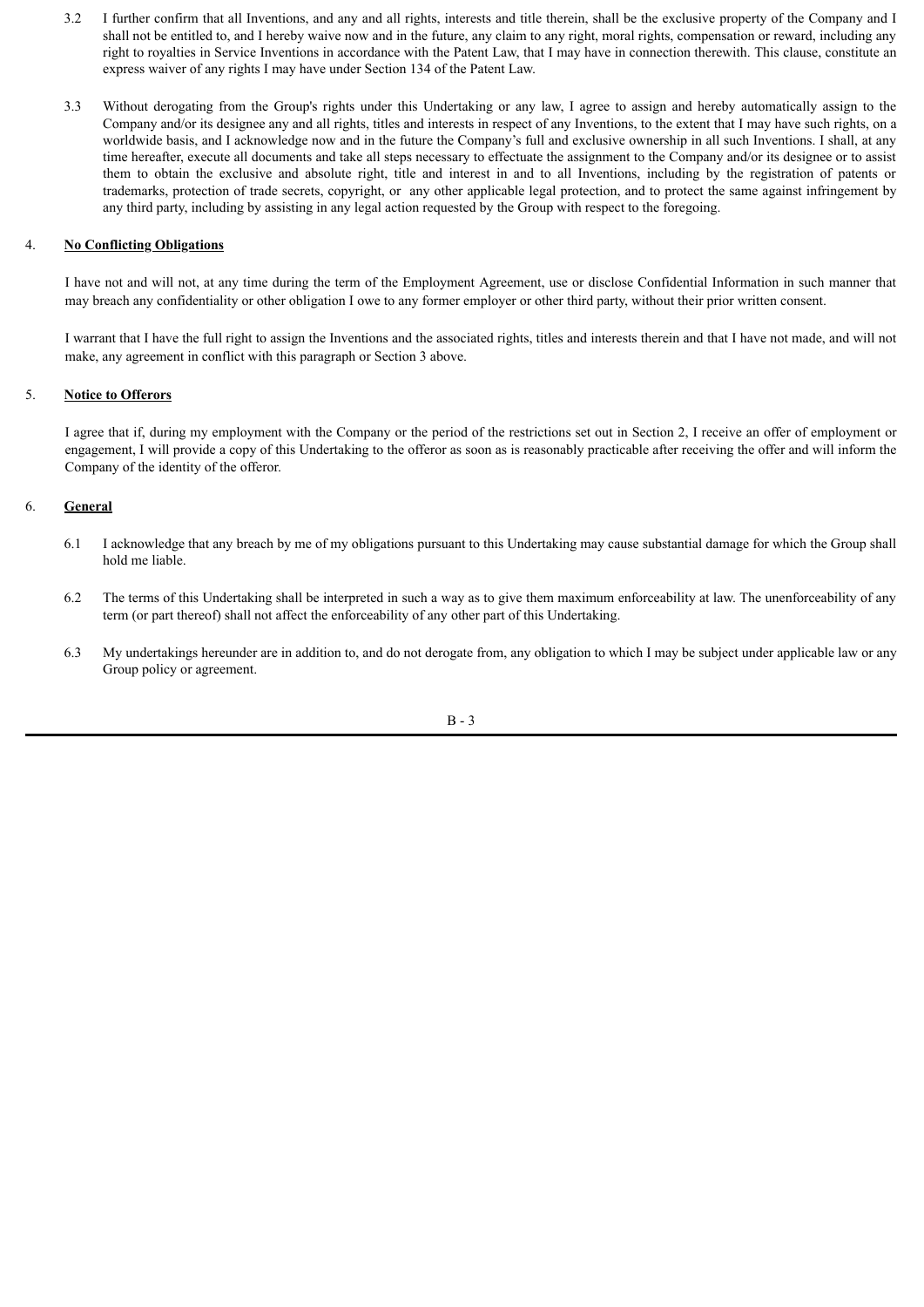- 3.2 I further confirm that all Inventions, and any and all rights, interests and title therein, shall be the exclusive property of the Company and I shall not be entitled to, and I hereby waive now and in the future, any claim to any right, moral rights, compensation or reward, including any right to royalties in Service Inventions in accordance with the Patent Law, that I may have in connection therewith. This clause, constitute an express waiver of any rights I may have under Section 134 of the Patent Law.
- 3.3 Without derogating from the Group's rights under this Undertaking or any law, I agree to assign and hereby automatically assign to the Company and/or its designee any and all rights, titles and interests in respect of any Inventions, to the extent that I may have such rights, on a worldwide basis, and I acknowledge now and in the future the Company's full and exclusive ownership in all such Inventions. I shall, at any time hereafter, execute all documents and take all steps necessary to effectuate the assignment to the Company and/or its designee or to assist them to obtain the exclusive and absolute right, title and interest in and to all Inventions, including by the registration of patents or trademarks, protection of trade secrets, copyright, or any other applicable legal protection, and to protect the same against infringement by any third party, including by assisting in any legal action requested by the Group with respect to the foregoing.

## 4. **No Conflicting Obligations**

I have not and will not, at any time during the term of the Employment Agreement, use or disclose Confidential Information in such manner that may breach any confidentiality or other obligation I owe to any former employer or other third party, without their prior written consent.

I warrant that I have the full right to assign the Inventions and the associated rights, titles and interests therein and that I have not made, and will not make, any agreement in conflict with this paragraph or Section 3 above.

## 5. **Notice to Offerors**

I agree that if, during my employment with the Company or the period of the restrictions set out in Section 2, I receive an offer of employment or engagement, I will provide a copy of this Undertaking to the offeror as soon as is reasonably practicable after receiving the offer and will inform the Company of the identity of the offeror.

## 6. **General**

- 6.1 I acknowledge that any breach by me of my obligations pursuant to this Undertaking may cause substantial damage for which the Group shall hold me liable.
- 6.2 The terms of this Undertaking shall be interpreted in such a way as to give them maximum enforceability at law. The unenforceability of any term (or part thereof) shall not affect the enforceability of any other part of this Undertaking.
- 6.3 My undertakings hereunder are in addition to, and do not derogate from, any obligation to which I may be subject under applicable law or any Group policy or agreement.

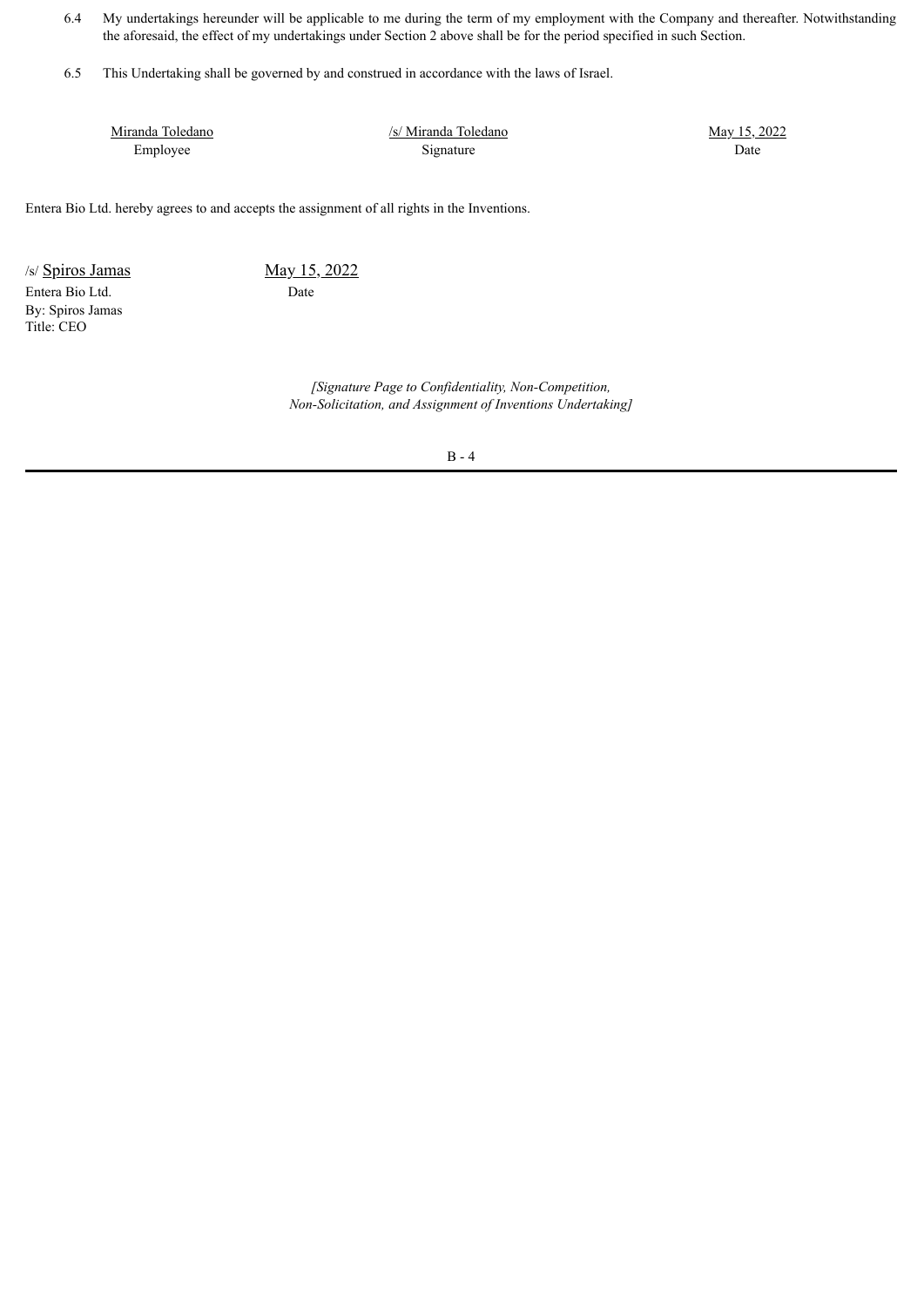- 6.4 My undertakings hereunder will be applicable to me during the term of my employment with the Company and thereafter. Notwithstanding the aforesaid, the effect of my undertakings under Section 2 above shall be for the period specified in such Section.
- 6.5 This Undertaking shall be governed by and construed in accordance with the laws of Israel.

Miranda Toledano Employee

/s/ Miranda Toledano Signature

May 15, 2022 Date

Entera Bio Ltd. hereby agrees to and accepts the assignment of all rights in the Inventions.

 $/s/$  Spiros Jamas May 15, 2022 Entera Bio Ltd. Date By: Spiros Jamas Title: CEO

*[Signature Page to Confidentiality, Non-Competition, Non-Solicitation, and Assignment of Inventions Undertaking]*

B - 4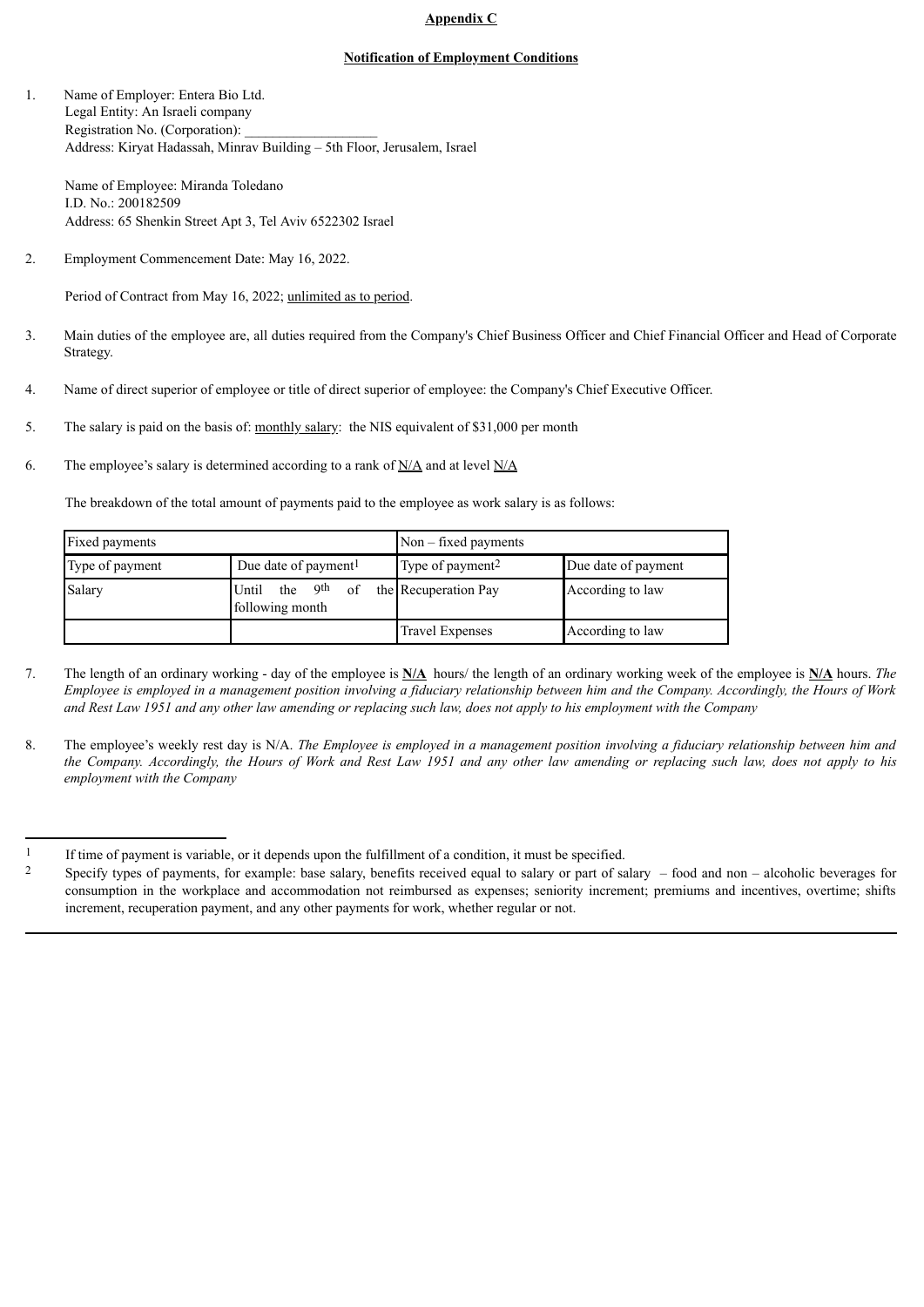## **Appendix C**

### **Notification of Employment Conditions**

1. Name of Employer: Entera Bio Ltd. Legal Entity: An Israeli company Registration No. (Corporation): Address: Kiryat Hadassah, Minrav Building – 5th Floor, Jerusalem, Israel

Name of Employee: Miranda Toledano I.D. No.: 200182509 Address: 65 Shenkin Street Apt 3, Tel Aviv 6522302 Israel

2. Employment Commencement Date: May 16, 2022.

Period of Contract from May 16, 2022; unlimited as to period.

- 3. Main duties of the employee are, all duties required from the Company's Chief Business Officer and Chief Financial Officer and Head of Corporate Strategy.
- 4. Name of direct superior of employee or title of direct superior of employee: the Company's Chief Executive Officer.
- 5. The salary is paid on the basis of: monthly salary: the NIS equivalent of \$31,000 per month
- 6. The employee's salary is determined according to a rank of  $N/A$  and at level  $N/A$

The breakdown of the total amount of payments paid to the employee as work salary is as follows:

| Fixed payments                                      |                                                       | $Non$ – fixed payments       |                     |  |
|-----------------------------------------------------|-------------------------------------------------------|------------------------------|---------------------|--|
| Due date of payment <sup>1</sup><br>Type of payment |                                                       | Type of payment <sup>2</sup> | Due date of payment |  |
| Salary                                              | the 9 <sup>th</sup><br>Until<br>of<br>following month | the Recuperation Pay         | According to law    |  |
|                                                     |                                                       | <b>Travel Expenses</b>       | According to law    |  |

- 7. The length of an ordinary working day of the employee is **N/A** hours/ the length of an ordinary working week of the employee is **N/A** hours. *The* Employee is employed in a management position involving a fiduciary relationship between him and the Company. Accordingly, the Hours of Work and Rest Law 1951 and any other law amending or replacing such law, does not apply to his employment with the Company
- 8. The employee's weekly rest day is N/A. The Employee is employed in a management position involving a fiduciary relationship between him and the Company. Accordingly, the Hours of Work and Rest Law 1951 and any other law amending or replacing such law, does not apply to his *employment with the Company*

<sup>1</sup> If time of payment is variable, or it depends upon the fulfillment of a condition, it must be specified.<br>2 Specify types of payments for example: base salary benefits received equal to salary or part of salary

<sup>2</sup> Specify types of payments, for example: base salary, benefits received equal to salary or part of salary – food and non – alcoholic beverages for consumption in the workplace and accommodation not reimbursed as expenses; seniority increment; premiums and incentives, overtime; shifts increment, recuperation payment, and any other payments for work, whether regular or not.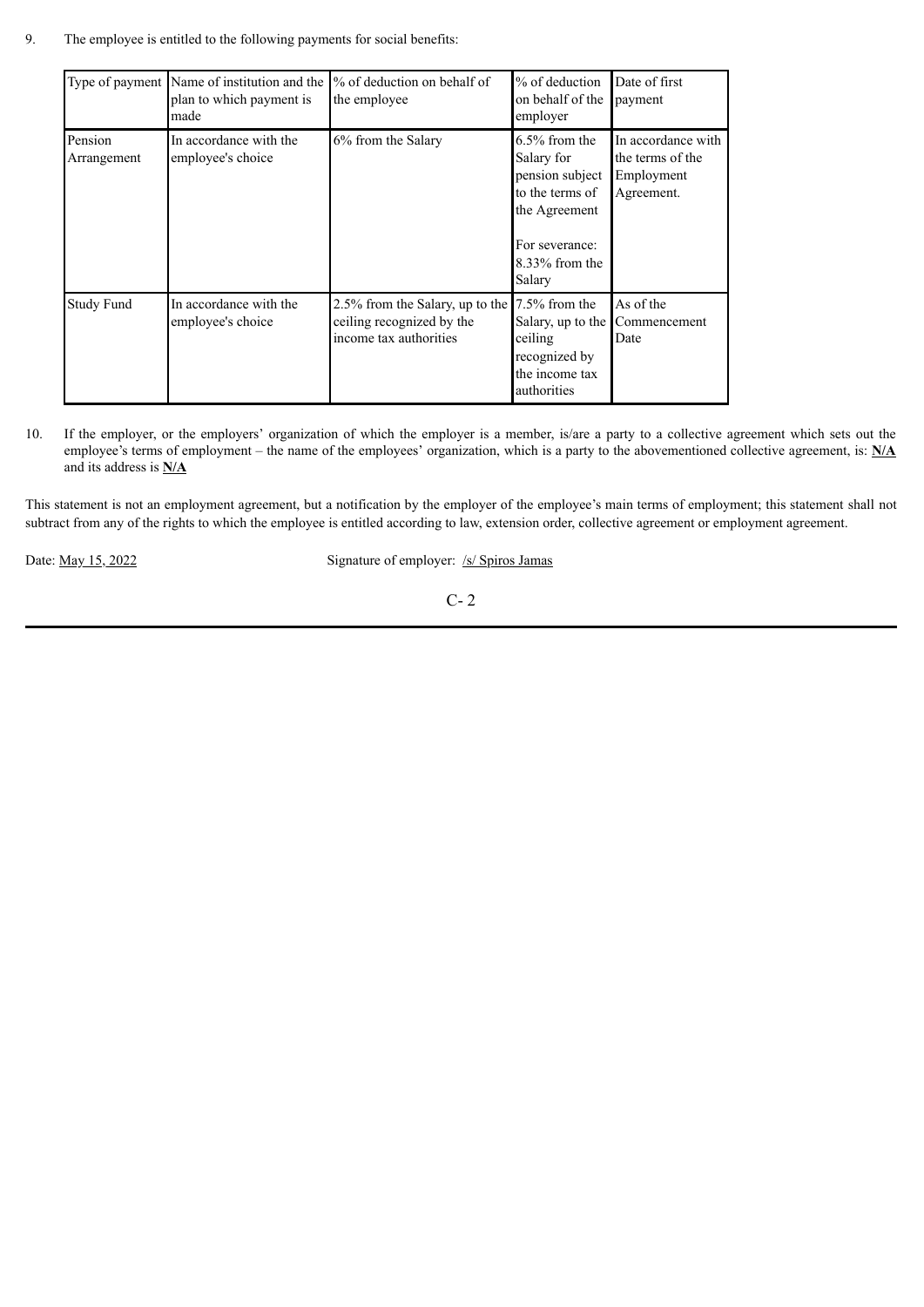9. The employee is entitled to the following payments for social benefits:

|                        | Type of payment Name of institution and the<br>plan to which payment is<br>made | % of deduction on behalf of<br>the employee                                            | $%$ of deduction<br>on behalf of the<br>employer                                                                                       | Date of first<br>payment                                           |
|------------------------|---------------------------------------------------------------------------------|----------------------------------------------------------------------------------------|----------------------------------------------------------------------------------------------------------------------------------------|--------------------------------------------------------------------|
| Pension<br>Arrangement | In accordance with the<br>employee's choice                                     | 6% from the Salary                                                                     | $6.5\%$ from the<br>Salary for<br>pension subject<br>to the terms of<br>the Agreement<br>For severance:<br>$8.33\%$ from the<br>Salary | In accordance with<br>the terms of the<br>Employment<br>Agreement. |
| Study Fund             | In accordance with the<br>employee's choice                                     | 2.5% from the Salary, up to the<br>ceiling recognized by the<br>income tax authorities | $7.5\%$ from the<br>Salary, up to the<br>ceiling<br>recognized by<br>the income tax<br>authorities                                     | As of the<br>Commencement<br>Date                                  |

10. If the employer, or the employers' organization of which the employer is a member, is/are a party to a collective agreement which sets out the employee's terms of employment – the name of the employees' organization, which is a party to the abovementioned collective agreement, is: **N/A** and its address is **N/A**

This statement is not an employment agreement, but a notification by the employer of the employee's main terms of employment; this statement shall not subtract from any of the rights to which the employee is entitled according to law, extension order, collective agreement or employment agreement.

Date: <u>May 15, 2022</u> Signature of employer: /s/ Spiros Jamas

C- 2